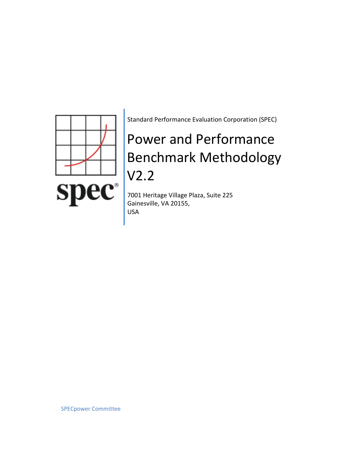

Standard Performance Evaluation Corporation (SPEC)

# Power and Performance Benchmark Methodology V2.2

7001 Heritage Village Plaza, Suite 225 Gainesville, VA 20155, USA

SPECpower Committee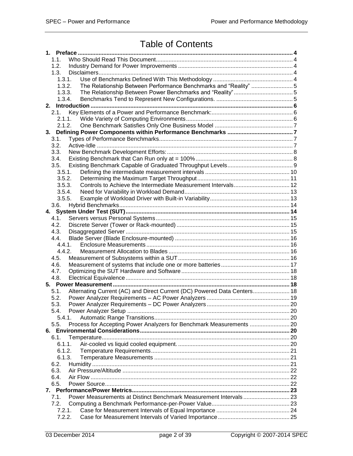## Table of Contents

| 1.1.                                                                             |  |
|----------------------------------------------------------------------------------|--|
| 1.2.                                                                             |  |
| 1.3.                                                                             |  |
| 1.3.1.                                                                           |  |
| The Relationship Between Performance Benchmarks and "Reality" 5<br>1.3.2.        |  |
| 1.3.3.                                                                           |  |
| 1.3.4.                                                                           |  |
|                                                                                  |  |
| 2.1.                                                                             |  |
| 2.1.1.                                                                           |  |
| 2.1.2.                                                                           |  |
|                                                                                  |  |
|                                                                                  |  |
| 3.1.                                                                             |  |
| 3.2.                                                                             |  |
| 3.3.                                                                             |  |
| 3.4.                                                                             |  |
| 3.5.                                                                             |  |
| 3.5.1.                                                                           |  |
| 3.5.2.                                                                           |  |
| Controls to Achieve the Intermediate Measurement Intervals 12<br>3.5.3.          |  |
| 3.5.4.                                                                           |  |
| 3.5.5.                                                                           |  |
| 3.6.                                                                             |  |
| 4.                                                                               |  |
| 4.1.                                                                             |  |
| 4.2.                                                                             |  |
| 4.3.                                                                             |  |
| 4.4.                                                                             |  |
| 4.4.1.                                                                           |  |
| 4.4.2.                                                                           |  |
| 4.5.                                                                             |  |
| 4.6.                                                                             |  |
|                                                                                  |  |
| 4.7.                                                                             |  |
| 4.8.                                                                             |  |
|                                                                                  |  |
| Alternating Current (AC) and Direct Current (DC) Powered Data Centers 18<br>5.1. |  |
| 5.2.                                                                             |  |
| 5.3.                                                                             |  |
| 5.4.                                                                             |  |
| 5.4.1.                                                                           |  |
| Process for Accepting Power Analyzers for Benchmark Measurements  20<br>5.5.     |  |
|                                                                                  |  |
| 6.1.                                                                             |  |
| 6.1.1.                                                                           |  |
| 6.1.2.                                                                           |  |
| 6.1.3.                                                                           |  |
| 6.2.                                                                             |  |
| 6.3.                                                                             |  |
| 6.4.                                                                             |  |
| 6.5.                                                                             |  |
|                                                                                  |  |
| Power Measurements at Distinct Benchmark Measurement Intervals23<br>7.1.         |  |
| 7.2.                                                                             |  |
|                                                                                  |  |
| 7.2.1.                                                                           |  |
| 7.2.2.                                                                           |  |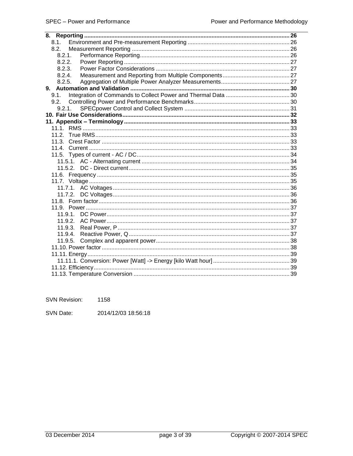| $8.1$ . |  |
|---------|--|
| 8.2.    |  |
| 8.2.1.  |  |
| 8.2.2.  |  |
| 8.2.3.  |  |
| 8.2.4.  |  |
| 8.2.5.  |  |
|         |  |
|         |  |
|         |  |
| 9.2.1.  |  |
|         |  |
|         |  |
|         |  |
|         |  |
|         |  |
|         |  |
|         |  |
|         |  |
|         |  |
|         |  |
|         |  |
|         |  |
| 11.7.2. |  |
|         |  |
|         |  |
| 11.9.1. |  |
| 11.9.2. |  |
| 11.9.3. |  |
| 11.9.4. |  |
| 11.9.5. |  |
|         |  |
|         |  |
|         |  |
|         |  |
|         |  |

**SVN Revision:** 1158

SVN Date: 2014/12/03 18:56:18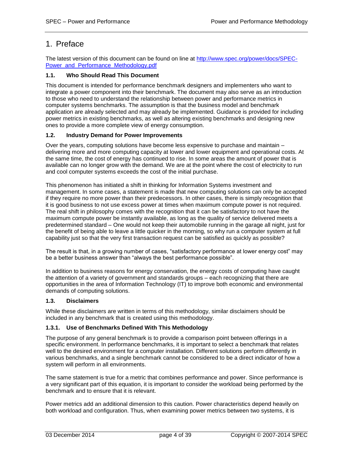### <span id="page-3-0"></span>1. Preface

The latest version of this document can be found on line at [http://www.spec.org/power/docs/SPEC-](http://www.spec.org/power/docs/SPEC-Power_and_Performance_Methodology.pdf)[Power\\_and\\_Performance\\_Methodology.pdf](http://www.spec.org/power/docs/SPEC-Power_and_Performance_Methodology.pdf)

### <span id="page-3-1"></span>**1.1. Who Should Read This Document**

This document is intended for performance benchmark designers and implementers who want to integrate a power component into their benchmark. The document may also serve as an introduction to those who need to understand the relationship between power and performance metrics in computer systems benchmarks. The assumption is that the business model and benchmark application are already selected and may already be implemented. Guidance is provided for including power metrics in existing benchmarks, as well as altering existing benchmarks and designing new ones to provide a more complete view of energy consumption.

### <span id="page-3-2"></span>**1.2. Industry Demand for Power Improvements**

Over the years, computing solutions have become less expensive to purchase and maintain – delivering more and more computing capacity at lower and lower equipment and operational costs. At the same time, the cost of energy has continued to rise. In some areas the amount of power that is available can no longer grow with the demand. We are at the point where the cost of electricity to run and cool computer systems exceeds the cost of the initial purchase.

This phenomenon has initiated a shift in thinking for Information Systems investment and management. In some cases, a statement is made that new computing solutions can only be accepted if they require no more power than their predecessors. In other cases, there is simply recognition that it is good business to not use excess power at times when maximum compute power is not required. The real shift in philosophy comes with the recognition that it can be satisfactory to not have the maximum compute power be instantly available, as long as the quality of service delivered meets a predetermined standard – One would not keep their automobile running in the garage all night, just for the benefit of being able to leave a little quicker in the morning, so why run a computer system at full capability just so that the very first transaction request can be satisfied as quickly as possible?

The result is that, in a growing number of cases, "satisfactory performance at lower energy cost" may be a better business answer than "always the best performance possible".

In addition to business reasons for energy conservation, the energy costs of computing have caught the attention of a variety of government and standards groups – each recognizing that there are opportunities in the area of Information Technology (IT) to improve both economic and environmental demands of computing solutions.

### <span id="page-3-3"></span>**1.3. Disclaimers**

While these disclaimers are written in terms of this methodology, similar disclaimers should be included in any benchmark that is created using this methodology.

### <span id="page-3-4"></span>**1.3.1. Use of Benchmarks Defined With This Methodology**

The purpose of any general benchmark is to provide a comparison point between offerings in a specific environment. In performance benchmarks, it is important to select a benchmark that relates well to the desired environment for a computer installation. Different solutions perform differently in various benchmarks, and a single benchmark cannot be considered to be a direct indicator of how a system will perform in all environments.

The same statement is true for a metric that combines performance and power. Since performance is a very significant part of this equation, it is important to consider the workload being performed by the benchmark and to ensure that it is relevant.

Power metrics add an additional dimension to this caution. Power characteristics depend heavily on both workload and configuration. Thus, when examining power metrics between two systems, it is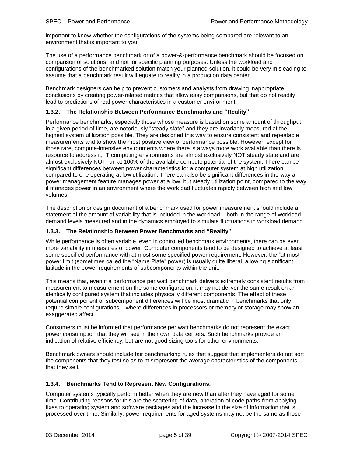important to know whether the configurations of the systems being compared are relevant to an environment that is important to you.

The use of a performance benchmark or of a power-&-performance benchmark should be focused on comparison of solutions, and not for specific planning purposes. Unless the workload and configurations of the benchmarked solution match your planned solution, it could be very misleading to assume that a benchmark result will equate to reality in a production data center.

Benchmark designers can help to prevent customers and analysts from drawing inappropriate conclusions by creating power-related metrics that allow easy comparisons, but that do not readily lead to predictions of real power characteristics in a customer environment.

### <span id="page-4-0"></span>**1.3.2. The Relationship Between Performance Benchmarks and "Reality"**

Performance benchmarks, especially those whose measure is based on some amount of throughput in a given period of time, are notoriously "steady state" and they are invariably measured at the highest system utilization possible. They are designed this way to ensure consistent and repeatable measurements and to show the most positive view of performance possible. However, except for those rare, compute-intensive environments where there is always more work available than there is resource to address it, IT computing environments are almost exclusively NOT steady state and are almost exclusively NOT run at 100% of the available compute potential of the system. There can be significant differences between power characteristics for a computer system at high utilization compared to one operating at low utilization. There can also be significant differences in the way a power management feature manages power at a low, but steady utilization point, compared to the way it manages power in an environment where the workload fluctuates rapidly between high and low volumes.

The description or design document of a benchmark used for power measurement should include a statement of the amount of variability that is included in the workload – both in the range of workload demand levels measured and in the dynamics employed to simulate fluctuations in workload demand.

### <span id="page-4-1"></span>**1.3.3. The Relationship Between Power Benchmarks and "Reality"**

While performance is often variable, even in controlled benchmark environments, there can be even more variability in measures of power. Computer components tend to be designed to achieve at least some specified performance with at most some specified power requirement. However, the "at most" power limit (sometimes called the "Name Plate" power) is usually quite liberal, allowing significant latitude in the power requirements of subcomponents within the unit.

This means that, even if a performance per watt benchmark delivers extremely consistent results from measurement to measurement on the same configuration, it may not deliver the same result on an identically configured system that includes physically different components. The effect of these potential component or subcomponent differences will be most dramatic in benchmarks that only require simple configurations – where differences in processors or memory or storage may show an exaggerated affect.

Consumers must be informed that performance per watt benchmarks do not represent the exact power consumption that they will see in their own data centers. Such benchmarks provide an indication of relative efficiency, but are not good sizing tools for other environments.

Benchmark owners should include fair benchmarking rules that suggest that implementers do not sort the components that they test so as to misrepresent the average characteristics of the components that they sell.

### <span id="page-4-2"></span>**1.3.4. Benchmarks Tend to Represent New Configurations.**

Computer systems typically perform better when they are new than after they have aged for some time. Contributing reasons for this are the scattering of data, alteration of code paths from applying fixes to operating system and software packages and the increase in the size of information that is processed over time. Similarly, power requirements for aged systems may not be the same as those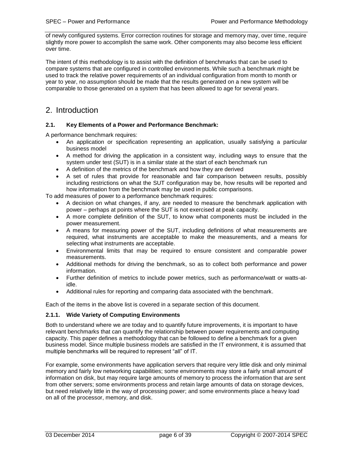of newly configured systems. Error correction routines for storage and memory may, over time, require slightly more power to accomplish the same work. Other components may also become less efficient over time.

The intent of this methodology is to assist with the definition of benchmarks that can be used to compare systems that are configured in controlled environments. While such a benchmark might be used to track the relative power requirements of an individual configuration from month to month or year to year, no assumption should be made that the results generated on a new system will be comparable to those generated on a system that has been allowed to age for several years.

### <span id="page-5-0"></span>2. Introduction

### <span id="page-5-1"></span>**2.1. Key Elements of a Power and Performance Benchmark:**

A performance benchmark requires:

- An application or specification representing an application, usually satisfying a particular business model
- A method for driving the application in a consistent way, including ways to ensure that the system under test (SUT) is in a similar state at the start of each benchmark run
- A definition of the metrics of the benchmark and how they are derived
- A set of rules that provide for reasonable and fair comparison between results, possibly including restrictions on what the SUT configuration may be, how results will be reported and how information from the benchmark may be used in public comparisons.

To add measures of power to a performance benchmark requires:

- A decision on what changes, if any, are needed to measure the benchmark application with power – perhaps at points where the SUT is not exercised at peak capacity.
- A more complete definition of the SUT, to know what components must be included in the power measurement.
- A means for measuring power of the SUT, including definitions of what measurements are required, what instruments are acceptable to make the measurements, and a means for selecting what instruments are acceptable.
- Environmental limits that may be required to ensure consistent and comparable power measurements.
- Additional methods for driving the benchmark, so as to collect both performance and power information.
- Further definition of metrics to include power metrics, such as performance/watt or watts-atidle.
- Additional rules for reporting and comparing data associated with the benchmark.

Each of the items in the above list is covered in a separate section of this document.

### <span id="page-5-2"></span>**2.1.1. Wide Variety of Computing Environments**

Both to understand where we are today and to quantify future improvements, it is important to have relevant benchmarks that can quantify the relationship between power requirements and computing capacity. This paper defines a methodology that can be followed to define a benchmark for a given business model. Since multiple business models are satisfied in the IT environment, it is assumed that multiple benchmarks will be required to represent "all" of IT.

For example, some environments have application servers that require very little disk and only minimal memory and fairly low networking capabilities; some environments may store a fairly small amount of information on disk, but may require large amounts of memory to process the information that are sent from other servers; some environments process and retain large amounts of data on storage devices, but need relatively little in the way of processing power; and some environments place a heavy load on all of the processor, memory, and disk.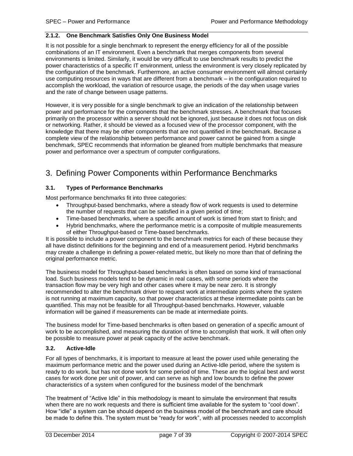### <span id="page-6-0"></span>**2.1.2. One Benchmark Satisfies Only One Business Model**

It is not possible for a single benchmark to represent the energy efficiency for all of the possible combinations of an IT environment. Even a benchmark that merges components from several environments is limited. Similarly, it would be very difficult to use benchmark results to predict the power characteristics of a specific IT environment, unless the environment is very closely replicated by the configuration of the benchmark. Furthermore, an active consumer environment will almost certainly use computing resources in ways that are different from a benchmark – in the configuration required to accomplish the workload, the variation of resource usage, the periods of the day when usage varies and the rate of change between usage patterns.

However, it is very possible for a single benchmark to give an indication of the relationship between power and performance for the components that the benchmark stresses. A benchmark that focuses primarily on the processor within a server should not be ignored, just because it does not focus on disk or networking. Rather, it should be viewed as a focused view of the processor component, with the knowledge that there may be other components that are not quantified in the benchmark. Because a complete view of the relationship between performance and power cannot be gained from a single benchmark, SPEC recommends that information be gleaned from multiple benchmarks that measure power and performance over a spectrum of computer configurations.

### <span id="page-6-1"></span>3. Defining Power Components within Performance Benchmarks

### <span id="page-6-2"></span>**3.1. Types of Performance Benchmarks**

Most performance benchmarks fit into three categories:

- Throughput-based benchmarks, where a steady flow of work requests is used to determine the number of requests that can be satisfied in a given period of time;
- Time-based benchmarks, where a specific amount of work is timed from start to finish; and
- Hybrid benchmarks, where the performance metric is a composite of multiple measurements of either Throughput-based or Time-based benchmarks.

It is possible to include a power component to the benchmark metrics for each of these because they all have distinct definitions for the beginning and end of a measurement period. Hybrid benchmarks may create a challenge in defining a power-related metric, but likely no more than that of defining the original performance metric.

The business model for Throughput-based benchmarks is often based on some kind of transactional load. Such business models tend to be dynamic in real cases, with some periods where the transaction flow may be very high and other cases where it may be near zero. It is strongly recommended to alter the benchmark driver to request work at intermediate points where the system is not running at maximum capacity, so that power characteristics at these intermediate points can be quantified. This may not be feasible for all Throughput-based benchmarks. However, valuable information will be gained if measurements can be made at intermediate points.

The business model for Time-based benchmarks is often based on generation of a specific amount of work to be accomplished, and measuring the duration of time to accomplish that work. It will often only be possible to measure power at peak capacity of the active benchmark.

### <span id="page-6-3"></span>**3.2. Active-Idle**

For all types of benchmarks, it is important to measure at least the power used while generating the maximum performance metric and the power used during an Active-Idle period, where the system is ready to do work, but has not done work for some period of time. These are the logical best and worst cases for work done per unit of power, and can serve as high and low bounds to define the power characteristics of a system when configured for the business model of the benchmark

The treatment of "Active Idle" in this methodology is meant to simulate the environment that results when there are no work requests and there is sufficient time available for the system to "cool down". How "idle" a system can be should depend on the business model of the benchmark and care should be made to define this. The system must be "ready for work", with all processes needed to accomplish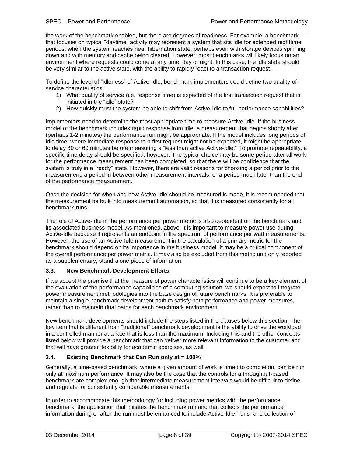the work of the benchmark enabled, but there are degrees of readiness. For example, a benchmark that focuses on typical "daytime" activity may represent a system that sits idle for extended nighttime periods, when the system reaches near hibernation state, perhaps even with storage devices spinning down and with memory and cache being cleared. However, most benchmarks will likely focus on an environment where requests could come at any time, day or night. In this case, the idle state should be very similar to the active state, with the ability to rapidly react to a transaction request.

To define the level of "idleness" of Active-Idle, benchmark implementers could define two quality-ofservice characteristics:

- 1) What quality of service (i.e. response time) is expected of the first transaction request that is initiated in the "idle" state?
- 2) How quickly must the system be able to shift from Active-Idle to full performance capabilities?

Implementers need to determine the most appropriate time to measure Active-Idle. If the business model of the benchmark includes rapid response from idle, a measurement that begins shortly after (perhaps 1-2 minutes) the performance run might be appropriate. If the model includes long periods of idle time, where immediate response to a first request might not be expected, it might be appropriate to delay 30 or 60 minutes before measuring a "less than active Active-Idle." To promote repeatability, a specific time delay should be specified, however. The typical choice may be some period after all work for the performance measurement has been completed, so that there will be confidence that the system is truly in a "ready" state. However, there are valid reasons for choosing a period prior to the measurement, a period in between other measurement intervals, or a period much later than the end of the performance measurement.

Once the decision for when and how Active-Idle should be measured is made, it is recommended that the measurement be built into measurement automation, so that it is measured consistently for all benchmark runs.

The role of Active-Idle in the performance per power metric is also dependent on the benchmark and its associated business model. As mentioned, above, it is important to measure power use during Active-Idle because it represents an endpoint in the spectrum of performance per watt measurements. However, the use of an Active-Idle measurement in the calculation of a primary metric for the benchmark should depend on its importance in the business model. It may be a critical component of the overall performance per power metric. It may also be excluded from this metric and only reported as a supplementary, stand-alone piece of information.

### <span id="page-7-0"></span>**3.3. New Benchmark Development Efforts:**

If we accept the premise that the measure of power characteristics will continue to be a key element of the evaluation of the performance capabilities of a computing solution, we should expect to integrate power measurement methodologies into the base design of future benchmarks. It is preferable to maintain a single benchmark development path to satisfy both performance and power measures, rather than to maintain dual paths for each benchmark environment.

New benchmark developments should include the steps listed in the clauses below this section. The key item that is different from "traditional" benchmark development is the ability to drive the workload in a controlled manner at a rate that is less than the maximum. Including this and the other concepts listed below will provide a benchmark that can deliver more relevant information to the customer and that will have greater flexibility for academic exercises, as well.

### <span id="page-7-1"></span>**3.4. Existing Benchmark that Can Run only at = 100%**

Generally, a time-based benchmark, where a given amount of work is timed to completion, can be run only at maximum performance. It may also be the case that the controls for a throughput-based benchmark are complex enough that intermediate measurement intervals would be difficult to define and regulate for consistently comparable measurements.

In order to accommodate this methodology for including power metrics with the performance benchmark, the application that initiates the benchmark run and that collects the performance information during or after the run must be enhanced to include Active-Idle "runs" and collection of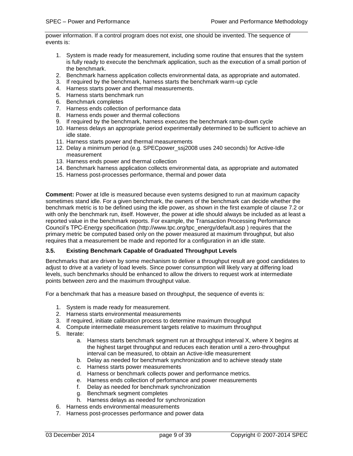power information. If a control program does not exist, one should be invented. The sequence of events is:

- 1. System is made ready for measurement, including some routine that ensures that the system is fully ready to execute the benchmark application, such as the execution of a small portion of the benchmark.
- 2. Benchmark harness application collects environmental data, as appropriate and automated.
- 3. If required by the benchmark, harness starts the benchmark warm-up cycle
- 4. Harness starts power and thermal measurements.
- 5. Harness starts benchmark run
- 6. Benchmark completes
- 7. Harness ends collection of performance data
- 8. Harness ends power and thermal collections
- 9. If required by the benchmark, harness executes the benchmark ramp-down cycle
- 10. Harness delays an appropriate period experimentally determined to be sufficient to achieve an idle state.
- 11. Harness starts power and thermal measurements
- 12. Delay a minimum period (e.g. SPECpower\_ssj2008 uses 240 seconds) for Active-Idle measurement
- 13. Harness ends power and thermal collection
- 14. Benchmark harness application collects environmental data, as appropriate and automated
- 15. Harness post-processes performance, thermal and power data

**Comment:** Power at Idle is measured because even systems designed to run at maximum capacity sometimes stand idle. For a given benchmark, the owners of the benchmark can decide whether the benchmark metric is to be defined using the idle power, as shown in the first example of clause [7.2](#page-22-2) or with only the benchmark run, itself. However, the power at idle should always be included as at least a reported value in the benchmark reports. For example, the Transaction Processing Performance Council's TPC-Energy specification (http://www.tpc.org/tpc\_energy/default.asp ) requires that the primary metric be computed based only on the power measured at maximum throughput, but also requires that a measurement be made and reported for a configuration in an idle state.

### <span id="page-8-0"></span>**3.5. Existing Benchmark Capable of Graduated Throughput Levels**

Benchmarks that are driven by some mechanism to deliver a throughput result are good candidates to adjust to drive at a variety of load levels. Since power consumption will likely vary at differing load levels, such benchmarks should be enhanced to allow the drivers to request work at intermediate points between zero and the maximum throughput value.

For a benchmark that has a measure based on throughput, the sequence of events is:

- 1. System is made ready for measurement.
- 2. Harness starts environmental measurements
- 3. If required, initiate calibration process to determine maximum throughput
- 4. Compute intermediate measurement targets relative to maximum throughput
- 5. Iterate:
	- a. Harness starts benchmark segment run at throughput interval X, where X begins at the highest target throughput and reduces each iteration until a zero-throughput interval can be measured, to obtain an Active-Idle measurement
	- b. Delay as needed for benchmark synchronization and to achieve steady state
	- c. Harness starts power measurements
	- d. Harness or benchmark collects power and performance metrics.
	- e. Harness ends collection of performance and power measurements
	- f. Delay as needed for benchmark synchronization
	- g. Benchmark segment completes
	- h. Harness delays as needed for synchronization
- 6. Harness ends environmental measurements
- 7. Harness post-processes performance and power data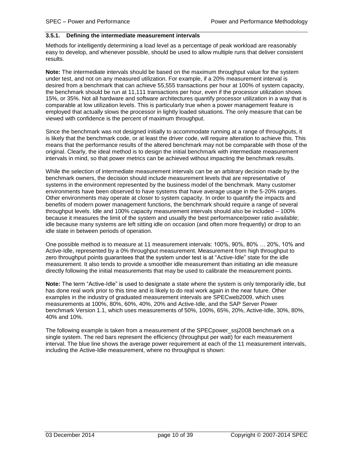#### <span id="page-9-0"></span>**3.5.1. Defining the intermediate measurement intervals**

Methods for intelligently determining a load level as a percentage of peak workload are reasonably easy to develop, and whenever possible, should be used to allow multiple runs that deliver consistent results.

**Note:** The intermediate intervals should be based on the maximum throughput value for the system under test, and not on any measured utilization. For example, if a 20% measurement interval is desired from a benchmark that can achieve 55,555 transactions per hour at 100% of system capacity, the benchmark should be run at 11,111 transactions per hour, even if the processor utilization shows 15%, or 35%. Not all hardware and software architectures quantify processor utilization in a way that is comparable at low utilization levels. This is particularly true when a power management feature is employed that actually slows the processor in lightly loaded situations. The only measure that can be viewed with confidence is the percent of maximum throughput.

Since the benchmark was not designed initially to accommodate running at a range of throughputs, it is likely that the benchmark code, or at least the driver code, will require alteration to achieve this. This means that the performance results of the altered benchmark may not be comparable with those of the original. Clearly, the ideal method is to design the initial benchmark with intermediate measurement intervals in mind, so that power metrics can be achieved without impacting the benchmark results.

While the selection of intermediate measurement intervals can be an arbitrary decision made by the benchmark owners, the decision should include measurement levels that are representative of systems in the environment represented by the business model of the benchmark. Many customer environments have been observed to have systems that have average usage in the 5-20% ranges. Other environments may operate at closer to system capacity. In order to quantify the impacts and benefits of modern power management functions, the benchmark should require a range of several throughput levels. Idle and 100% capacity measurement intervals should also be included – 100% because it measures the limit of the system and usually the best performance/power ratio available; idle because many systems are left sitting idle on occasion (and often more frequently) or drop to an idle state in between periods of operation.

One possible method is to measure at 11 measurement intervals: 100%, 90%, 80% … 20%, 10% and Active-Idle, represented by a 0% throughput measurement. Measurement from high throughput to zero throughput points guarantees that the system under test is at "Active-Idle" state for the idle measurement. It also tends to provide a smoother idle measurement than initiating an idle measure directly following the initial measurements that may be used to calibrate the measurement points.

**Note:** The term "Active-Idle" is used to designate a state where the system is only temporarily idle, but has done real work prior to this time and is likely to do real work again in the near future. Other examples in the industry of graduated measurement intervals are SPECweb2009, which uses measurements at 100%, 80%, 60%, 40%, 20% and Active-Idle, and the SAP Server Power benchmark Version 1.1, which uses measurements of 50%, 100%, 65%, 20%, Active-Idle, 30%, 80%, 40% and 10%.

The following example is taken from a measurement of the SPECpower\_ssj2008 benchmark on a single system. The red bars represent the efficiency (throughput per watt) for each measurement interval. The blue line shows the average power requirement at each of the 11 measurement intervals, including the Active-Idle measurement, where no throughput is shown: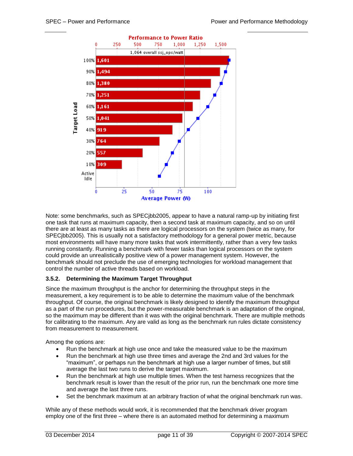

Note: some benchmarks, such as SPECjbb2005, appear to have a natural ramp-up by initiating first one task that runs at maximum capacity, then a second task at maximum capacity, and so on until there are at least as many tasks as there are logical processors on the system (twice as many, for SPECjbb2005). This is usually not a satisfactory methodology for a general power metric, because most environments will have many more tasks that work intermittently, rather than a very few tasks running constantly. Running a benchmark with fewer tasks than logical processors on the system could provide an unrealistically positive view of a power management system. However, the benchmark should not preclude the use of emerging technologies for workload management that control the number of active threads based on workload.

### <span id="page-10-0"></span>**3.5.2. Determining the Maximum Target Throughput**

Since the maximum throughput is the anchor for determining the throughput steps in the measurement, a key requirement is to be able to determine the maximum value of the benchmark throughput. Of course, the original benchmark is likely designed to identify the maximum throughput as a part of the run procedures, but the power-measurable benchmark is an adaptation of the original, so the maximum may be different than it was with the original benchmark. There are multiple methods for calibrating to the maximum. Any are valid as long as the benchmark run rules dictate consistency from measurement to measurement.

Among the options are:

- Run the benchmark at high use once and take the measured value to be the maximum
- Run the benchmark at high use three times and average the 2nd and 3rd values for the "maximum", or perhaps run the benchmark at high use a larger number of times, but still average the last two runs to derive the target maximum.
- Run the benchmark at high use multiple times. When the test harness recognizes that the benchmark result is lower than the result of the prior run, run the benchmark one more time and average the last three runs.
- Set the benchmark maximum at an arbitrary fraction of what the original benchmark run was.

While any of these methods would work, it is recommended that the benchmark driver program employ one of the first three – where there is an automated method for determining a maximum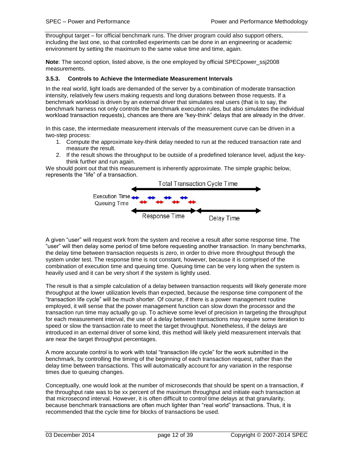throughput target – for official benchmark runs. The driver program could also support others, including the last one, so that controlled experiments can be done in an engineering or academic environment by setting the maximum to the same value time and time, again.

**Note:** The second option, listed above, is the one employed by official SPEC power ssj2008 measurements.

### <span id="page-11-0"></span>**3.5.3. Controls to Achieve the Intermediate Measurement Intervals**

In the real world, light loads are demanded of the server by a combination of moderate transaction intensity, relatively few users making requests and long durations between those requests. If a benchmark workload is driven by an external driver that simulates real users (that is to say, the benchmark harness not only controls the benchmark execution rules, but also simulates the individual workload transaction requests), chances are there are "key-think" delays that are already in the driver.

In this case, the intermediate measurement intervals of the measurement curve can be driven in a two-step process:

- 1. Compute the approximate key-think delay needed to run at the reduced transaction rate and measure the result.
- 2. If the result shows the throughput to be outside of a predefined tolerance level, adjust the keythink further and run again.

We should point out that this measurement is inherently approximate. The simple graphic below, represents the "life" of a transaction.



A given "user" will request work from the system and receive a result after some response time. The "user" will then delay some period of time before requesting another transaction. In many benchmarks, the delay time between transaction requests is zero, in order to drive more throughput through the system under test. The response time is not constant, however, because it is comprised of the combination of execution time and queuing time. Queuing time can be very long when the system is heavily used and it can be very short if the system is lightly used.

The result is that a simple calculation of a delay between transaction requests will likely generate more throughput at the lower utilization levels than expected, because the response time component of the "transaction life cycle" will be much shorter. Of course, if there is a power management routine employed, it will sense that the power management function can slow down the processor and the transaction run time may actually go up. To achieve some level of precision in targeting the throughput for each measurement interval, the use of a delay between transactions may require some iteration to speed or slow the transaction rate to meet the target throughput. Nonetheless, if the delays are introduced in an external driver of some kind, this method will likely yield measurement intervals that are near the target throughput percentages.

A more accurate control is to work with total "transaction life cycle" for the work submitted in the benchmark, by controlling the timing of the beginning of each transaction request, rather than the delay time between transactions. This will automatically account for any variation in the response times due to queuing changes.

Conceptually, one would look at the number of microseconds that should be spent on a transaction, if the throughput rate was to be xx percent of the maximum throughput and initiate each transaction at that microsecond interval. However, it is often difficult to control time delays at that granularity, because benchmark transactions are often much lighter than "real world" transactions. Thus, it is recommended that the cycle time for blocks of transactions be used.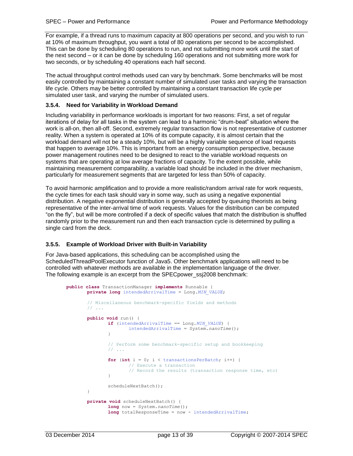For example, if a thread runs to maximum capacity at 800 operations per second, and you wish to run at 10% of maximum throughput, you want a total of 80 operations per second to be accomplished. This can be done by scheduling 80 operations to run, and not submitting more work until the start of the next second – or it can be done by scheduling 160 operations and not submitting more work for two seconds, or by scheduling 40 operations each half second.

The actual throughput control methods used can vary by benchmark. Some benchmarks will be most easily controlled by maintaining a constant number of simulated user tasks and varying the transaction life cycle. Others may be better controlled by maintaining a constant transaction life cycle per simulated user task, and varying the number of simulated users.

### <span id="page-12-0"></span>**3.5.4. Need for Variability in Workload Demand**

Including variability in performance workloads is important for two reasons: First, a set of regular iterations of delay for all tasks in the system can lead to a harmonic "drum-beat" situation where the work is all-on, then all-off. Second, extremely regular transaction flow is not representative of customer reality. When a system is operated at 10% of its compute capacity, it is almost certain that the workload demand will not be a steady 10%, but will be a highly variable sequence of load requests that happen to average 10%. This is important from an energy consumption perspective, because power management routines need to be designed to react to the variable workload requests on systems that are operating at low average fractions of capacity. To the extent possible, while maintaining measurement comparability, a variable load should be included in the driver mechanism, particularly for measurement segments that are targeted for less than 50% of capacity.

To avoid harmonic amplification and to provide a more realistic/random arrival rate for work requests, the cycle times for each task should vary in some way, such as using a negative exponential distribution. A negative exponential distribution is generally accepted by queuing theorists as being representative of the inter-arrival time of work requests. Values for the distribution can be computed "on the fly", but will be more controlled if a deck of specific values that match the distribution is shuffled randomly prior to the measurement run and then each transaction cycle is determined by pulling a single card from the deck.

#### <span id="page-12-1"></span>**3.5.5. Example of Workload Driver with Built-in Variability**

For Java-based applications, this scheduling can be accomplished using the ScheduledThreadPoolExecutor function of Java5. Other benchmark applications will need to be controlled with whatever methods are available in the implementation language of the driver. The following example is an excerpt from the SPECpower\_ssj2008 benchmark:

```
public class TransactionManager implements Runnable {
private long intendedArrivalTime = Long.MIN_VALUE;
// Miscellaneous benchmark-specific fields and methods
// ...
public void run() {
        if (intendedArrivalTime == Long.MIN_VALUE) {
               intendedArrivalTime = System.nanoTime();
        }
        // Perform some benchmark-specific setup and bookkeeping
        // ...
        for (int i = 0; i < transactionsPerBatch; i++) {
               // Execute a transaction
                // Record the results (transaction response time, etc)
        }
        scheduleNextBatch();
 }
private void scheduleNextBatch() {
        long now = System.nanoTime();
        long totalResponseTime = now - intendedArrivalTime;
```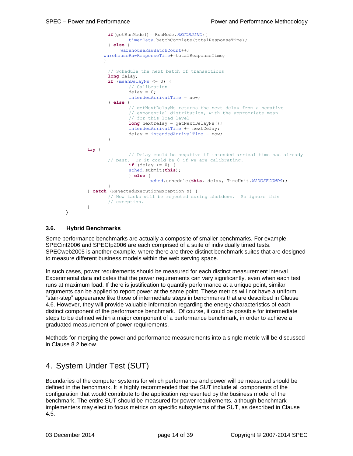

#### <span id="page-13-0"></span>**3.6. Hybrid Benchmarks**

Some performance benchmarks are actually a composite of smaller benchmarks. For example, SPECint2006 and SPECfp2006 are each comprised of a suite of individually timed tests. SPECweb2005 is another example, where there are three distinct benchmark suites that are designed to measure different business models within the web serving space.

In such cases, power requirements should be measured for each distinct measurement interval. Experimental data indicates that the power requirements can vary significantly, even when each test runs at maximum load. If there is justification to quantify performance at a unique point, similar arguments can be applied to report power at the same point. These metrics will not have a uniform "stair-step" appearance like those of intermediate steps in benchmarks that are described in Clause [4.6.](#page-16-0) However, they will provide valuable information regarding the energy characteristics of each distinct component of the performance benchmark. Of course, it could be possible for intermediate steps to be defined within a major component of a performance benchmark, in order to achieve a graduated measurement of power requirements.

Methods for merging the power and performance measurements into a single metric will be discussed in Clause [8.2](#page-25-2) below.

### <span id="page-13-1"></span>4. System Under Test (SUT)

Boundaries of the computer systems for which performance and power will be measured should be defined in the benchmark. It is highly recommended that the SUT include all components of the configuration that would contribute to the application represented by the business model of the benchmark. The entire SUT should be measured for power requirements, although benchmark implementers may elect to focus metrics on specific subsystems of the SUT, as described in Clause [4.5.](#page-15-3)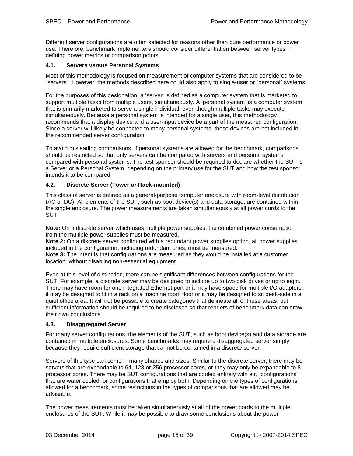Different server configurations are often selected for reasons other than pure performance or power use. Therefore, benchmark implementers should consider differentiation between server types in defining power metrics or comparison points.

#### <span id="page-14-0"></span>**4.1. Servers versus Personal Systems**

Most of this methodology is focused on measurement of computer systems that are considered to be "servers". However, the methods described here could also apply to single-user or "personal" systems.

For the purposes of this designation, a 'server' is defined as a computer system that is marketed to support multiple tasks from multiple users, simultaneously. A 'personal system' is a computer system that is primarily marketed to serve a single individual, even though multiple tasks may execute simultaneously. Because a personal system is intended for a single user, this methodology recommends that a display device and a user-input device be a part of the measured configuration. Since a server will likely be connected to many personal systems, these devices are not included in the recommended server configuration.

To avoid misleading comparisons, if personal systems are allowed for the benchmark, comparisons should be restricted so that only servers can be compared with servers and personal systems compared with personal systems. The test sponsor should be required to declare whether the SUT is a Server or a Personal System, depending on the primary use for the SUT and how the test sponsor intends it to be compared.

#### <span id="page-14-1"></span>**4.2. Discrete Server (Tower or Rack-mounted)**

This class of server is defined as a general-purpose computer enclosure with room-level distribution (AC or DC). All elements of the SUT, such as boot device(s) and data storage, are contained within the single enclosure. The power measurements are taken simultaneously at all power cords to the SUT.

**Note:** On a discrete server which uses multiple power supplies, the combined power consumption from the multiple power supplies must be measured.

**Note 2:** On a discrete server configured with a redundant power supplies option, all power supplies included in the configuration, including redundant ones, must be measured.

**Note 3:** The intent is that configurations are measured as they would be installed at a customer location, without disabling non-essential equipment.

Even at this level of distinction, there can be significant differences between configurations for the SUT. For example, a discrete server may be designed to include up to two disk drives or up to eight. There may have room for one integrated Ethernet port or it may have space for multiple I/O adapters; it may be designed to fit in a rack on a machine room floor or it may be designed to sit desk-side in a quiet office area. It will not be possible to create categories that delineate all of these areas, but sufficient information should be required to be disclosed so that readers of benchmark data can draw their own conclusions.

#### <span id="page-14-2"></span>**4.3. Disaggregated Server**

For many server configurations, the elements of the SUT, such as boot device(s) and data storage are contained in multiple enclosures. Some benchmarks may require a disaggregated server simply because they require sufficient storage that cannot be contained in a discrete server.

Servers of this type can come in many shapes and sizes. Similar to the discrete server, there may be servers that are expandable to 64, 128 or 256 processor cores, or they may only be expandable to 8 processor cores. There may be SUT configurations that are cooled entirely with air, configurations that are water cooled, or configurations that employ both. Depending on the types of configurations allowed for a benchmark, some restrictions in the types of comparisons that are allowed may be advisable.

The power measurements must be taken simultaneously at all of the power cords to the multiple enclosures of the SUT. While it may be possible to draw some conclusions about the power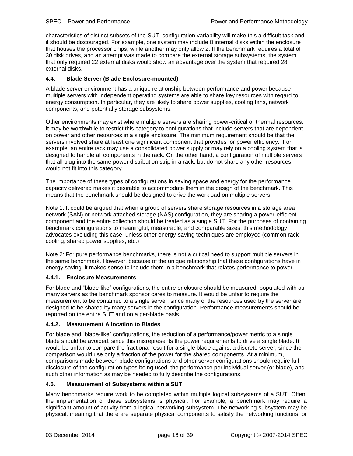characteristics of distinct subsets of the SUT, configuration variability will make this a difficult task and it should be discouraged. For example, one system may include 8 internal disks within the enclosure that houses the processor chips, while another may only allow 2. If the benchmark requires a total of 30 disk drives, and an attempt was made to compare the external storage subsystems, the system that only required 22 external disks would show an advantage over the system that required 28 external disks.

### <span id="page-15-0"></span>**4.4. Blade Server (Blade Enclosure-mounted)**

A blade server environment has a unique relationship between performance and power because multiple servers with independent operating systems are able to share key resources with regard to energy consumption. In particular, they are likely to share power supplies, cooling fans, network components, and potentially storage subsystems.

Other environments may exist where multiple servers are sharing power-critical or thermal resources. It may be worthwhile to restrict this category to configurations that include servers that are dependent on power and other resources in a single enclosure. The minimum requirement should be that the servers involved share at least one significant component that provides for power efficiency. For example, an entire rack may use a consolidated power supply or may rely on a cooling system that is designed to handle all components in the rack. On the other hand, a configuration of multiple servers that all plug into the same power distribution strip in a rack, but do not share any other resources, would not fit into this category.

The importance of these types of configurations in saving space and energy for the performance capacity delivered makes it desirable to accommodate them in the design of the benchmark. This means that the benchmark should be designed to drive the workload on multiple servers.

Note 1: It could be argued that when a group of servers share storage resources in a storage area network (SAN) or network attached storage (NAS) configuration, they are sharing a power-efficient component and the entire collection should be treated as a single SUT. For the purposes of containing benchmark configurations to meaningful, measurable, and comparable sizes, this methodology advocates excluding this case, unless other energy-saving techniques are employed (common rack cooling, shared power supplies, etc.)

Note 2: For pure performance benchmarks, there is not a critical need to support multiple servers in the same benchmark. However, because of the unique relationship that these configurations have in energy saving, it makes sense to include them in a benchmark that relates performance to power.

### <span id="page-15-1"></span>**4.4.1. Enclosure Measurements**

For blade and "blade-like" configurations, the entire enclosure should be measured, populated with as many servers as the benchmark sponsor cares to measure. It would be unfair to require the measurement to be contained to a single server, since many of the resources used by the server are designed to be shared by many servers in the configuration. Performance measurements should be reported on the entire SUT and on a per-blade basis.

### <span id="page-15-2"></span>**4.4.2. Measurement Allocation to Blades**

For blade and "blade-like" configurations, the reduction of a performance/power metric to a single blade should be avoided, since this misrepresents the power requirements to drive a single blade. It would be unfair to compare the fractional result for a single blade against a discrete server, since the comparison would use only a fraction of the power for the shared components. At a minimum, comparisons made between blade configurations and other server configurations should require full disclosure of the configuration types being used, the performance per individual server (or blade), and such other information as may be needed to fully describe the configurations.

### <span id="page-15-3"></span>**4.5. Measurement of Subsystems within a SUT**

Many benchmarks require work to be completed within multiple logical subsystems of a SUT. Often, the implementation of these subsystems is physical. For example, a benchmark may require a significant amount of activity from a logical networking subsystem. The networking subsystem may be physical, meaning that there are separate physical components to satisfy the networking functions, or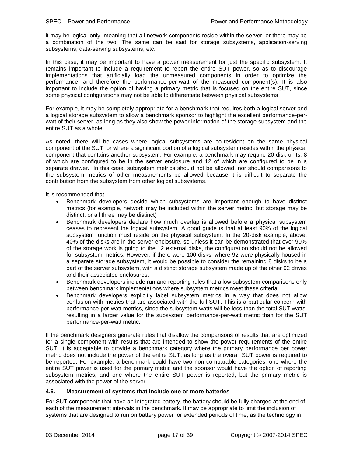it may be logical-only, meaning that all network components reside within the server, or there may be a combination of the two. The same can be said for storage subsystems, application-serving subsystems, data-serving subsystems, etc.

In this case, it may be important to have a power measurement for just the specific subsystem. It remains important to include a requirement to report the entire SUT power, so as to discourage implementations that artificially load the unmeasured components in order to optimize the performance, and therefore the performance-per-watt of the measured component(s). It is also important to include the option of having a primary metric that is focused on the entire SUT, since some physical configurations may not be able to differentiate between physical subsystems.

For example, it may be completely appropriate for a benchmark that requires both a logical server and a logical storage subsystem to allow a benchmark sponsor to highlight the excellent performance-perwatt of their server, as long as they also show the power information of the storage subsystem and the entire SUT as a whole.

As noted, there will be cases where logical subsystems are co-resident on the same physical component of the SUT, or where a significant portion of a logical subsystem resides within the physical component that contains another subsystem. For example, a benchmark may require 20 disk units, 8 of which are configured to be in the server enclosure and 12 of which are configured to be in a separate drawer. In this case, subsystem metrics should not be allowed, nor should comparisons to the subsystem metrics of other measurements be allowed because it is difficult to separate the contribution from the subsystem from other logical subsystems.

It is recommended that

- Benchmark developers decide which subsystems are important enough to have distinct metrics (for example, network may be included within the server metric, but storage may be distinct, or all three may be distinct)
- Benchmark developers declare how much overlap is allowed before a physical subsystem ceases to represent the logical subsystem. A good guide is that at least 90% of the logical subsystem function must reside on the physical subsystem. In the 20-disk example, above, 40% of the disks are in the server enclosure, so unless it can be demonstrated that over 90% of the storage work is going to the 12 external disks, the configuration should not be allowed for subsystem metrics. However, if there were 100 disks, where 92 were physically housed in a separate storage subsystem, it would be possible to consider the remaining 8 disks to be a part of the server subsystem, with a distinct storage subsystem made up of the other 92 drives and their associated enclosures.
- Benchmark developers include run and reporting rules that allow subsystem comparisons only between benchmark implementations where subsystem metrics meet these criteria.
- Benchmark developers explicitly label subsystem metrics in a way that does not allow confusion with metrics that are associated with the full SUT. This is a particular concern with performance-per-watt metrics, since the subsystem watts will be less than the total SUT watts, resulting in a larger value for the subsystem performance-per-watt metric than for the SUT performance-per-watt metric.

If the benchmark designers generate rules that disallow the comparisons of results that are optimized for a single component with results that are intended to show the power requirements of the entire SUT, it is acceptable to provide a benchmark category where the primary performance per power metric does not include the power of the entire SUT, as long as the overall SUT power is required to be reported. For example, a benchmark could have two non-comparable categories, one where the entire SUT power is used for the primary metric and the sponsor would have the option of reporting subsystem metrics; and one where the entire SUT power is reported, but the primary metric is associated with the power of the server.

### <span id="page-16-0"></span>**4.6. Measurement of systems that include one or more batteries**

For SUT components that have an integrated battery, the battery should be fully charged at the end of each of the measurement intervals in the benchmark. It may be appropriate to limit the inclusion of systems that are designed to run on battery power for extended periods of time, as the technology in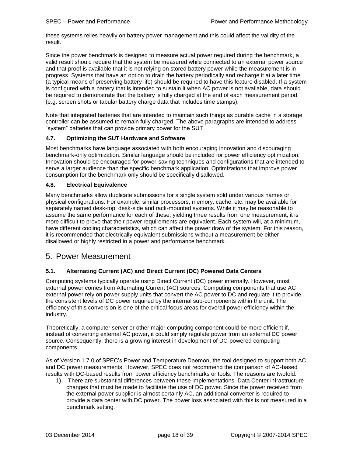these systems relies heavily on battery power management and this could affect the validity of the result.

Since the power benchmark is designed to measure actual power required during the benchmark, a valid result should require that the system be measured while connected to an external power source and that proof is available that it is not relying on stored battery power while the measurement is in progress. Systems that have an option to drain the battery periodically and recharge it at a later time (a typical means of preserving battery life) should be required to have this feature disabled. If a system is configured with a battery that is intended to sustain it when AC power is not available, data should be required to demonstrate that the battery is fully charged at the end of each measurement period (e.g. screen shots or tabular battery charge data that includes time stamps).

Note that integrated batteries that are intended to maintain such things as durable cache in a storage controller can be assumed to remain fully charged. The above paragraphs are intended to address "system" batteries that can provide primary power for the SUT.

### <span id="page-17-0"></span>**4.7. Optimizing the SUT Hardware and Software**

Most benchmarks have language associated with both encouraging innovation and discouraging benchmark-only optimization. Similar language should be included for power efficiency optimization. Innovation should be encouraged for power-saving techniques and configurations that are intended to serve a larger audience than the specific benchmark application. Optimizations that improve power consumption for the benchmark only should be specifically disallowed.

### <span id="page-17-1"></span>**4.8. Electrical Equivalence**

Many benchmarks allow duplicate submissions for a single system sold under various names or physical configurations. For example, similar processors, memory, cache, etc. may be available for separately named desk-top, desk-side and rack-mounted systems. While it may be reasonable to assume the same performance for each of these, yielding three results from one measurement, it is more difficult to prove that their power requirements are equivalent. Each system will, at a minimum, have different cooling characteristics, which can affect the power draw of the system. For this reason, it is recommended that electrically equivalent submissions without a measurement be either disallowed or highly restricted in a power and performance benchmark.

### <span id="page-17-2"></span>5. Power Measurement

### <span id="page-17-3"></span>**5.1. Alternating Current (AC) and Direct Current (DC) Powered Data Centers**

Computing systems typically operate using Direct Current (DC) power internally. However, most external power comes from Alternating Current (AC) sources. Computing components that use AC external power rely on power supply units that convert the AC power to DC and regulate it to provide the consistent levels of DC power required by the internal sub-components within the unit. The efficiency of this conversion is one of the critical focus areas for overall power efficiency within the industry.

Theoretically, a computer server or other major computing component could be more efficient if, instead of converting external AC power, it could simply regulate power from an external DC power source. Consequently, there is a growing interest in development of DC-powered computing components.

As of Version 1.7.0 of SPEC's Power and Temperature Daemon, the tool designed to support both AC and DC power measurements. However, SPEC does not recommend the comparison of AC-based results with DC-based results from power efficiency benchmarks or tools. The reasons are twofold:

1) There are substantial differences between these implementations. Data Center infrastructure changes that must be made to facilitate the use of DC power. Since the power received from the external power supplier is almost certainly AC, an additional converter is required to provide a data center with DC power. The power loss associated with this is not measured in a benchmark setting.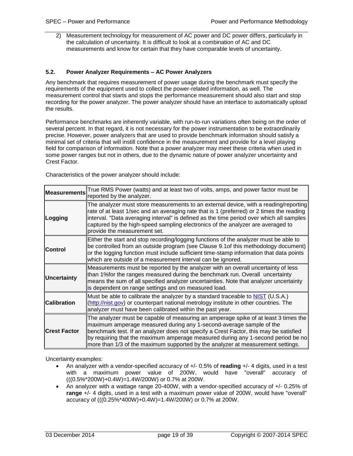2) Measurement technology for measurement of AC power and DC power differs, particularly in the calculation of uncertainty. It is difficult to look at a combination of AC and DC measurements and know for certain that they have comparable levels of uncertainty.

#### <span id="page-18-0"></span>**5.2. Power Analyzer Requirements – AC Power Analyzers**

Any benchmark that requires measurement of power usage during the benchmark must specify the requirements of the equipment used to collect the power-related information, as well. The measurement control that starts and stops the performance measurement should also start and stop recording for the power analyzer. The power analyzer should have an interface to automatically upload the results.

Performance benchmarks are inherently variable, with run-to-run variations often being on the order of several percent. In that regard, it is not necessary for the power instrumentation to be extraordinarily precise. However, power analyzers that are used to provide benchmark information should satisfy a minimal set of criteria that will instill confidence in the measurement and provide for a level playing field for comparison of information. Note that a power analyzer may meet these criteria when used in some power ranges but not in others, due to the dynamic nature of power analyzer uncertainty and Crest Factor.

Characteristics of the power analyzer should include:

| <b>Measurements</b> | True RMS Power (watts) and at least two of volts, amps, and power factor must be<br>reported by the analyzer.                                                                                                                                                                                                                                                                                                              |
|---------------------|----------------------------------------------------------------------------------------------------------------------------------------------------------------------------------------------------------------------------------------------------------------------------------------------------------------------------------------------------------------------------------------------------------------------------|
| Logging             | The analyzer must store measurements to an external device, with a reading/reporting<br>rate of at least 1/sec and an averaging rate that is 1 (preferred) or 2 times the reading<br>interval. "Data averaging interval" is defined as the time period over which all samples<br>captured by the high-speed sampling electronics of the analyzer are averaged to<br>provide the measurement set.                           |
| ∣Control            | Either the start and stop recording/logging functions of the analyzer must be able to<br>be controlled from an outside program (see Clause 9.1 of this methodology document)<br>or the logging function must include sufficient time-stamp information that data points<br>which are outside of a measurement interval can be ignored.                                                                                     |
| Uncertainty         | Measurements must be reported by the analyzer with an overall uncertainty of less<br>than 1%for the ranges measured during the benchmark run. Overall uncertainty<br>means the sum of all specified analyzer uncertainties. Note that analyzer uncertainty<br>is dependent on range settings and on measured load.                                                                                                         |
| <b>Calibration</b>  | Must be able to calibrate the analyzer by a standard traceable to NIST (U.S.A.)<br>(http://nist.gov) or counterpart national metrology institute in other countries. The<br>analyzer must have been calibrated within the past year.                                                                                                                                                                                       |
| <b>Crest Factor</b> | The analyzer must be capable of measuring an amperage spike of at least 3 times the<br>maximum amperage measured during any 1-second-average sample of the<br>benchmark test. If an analyzer does not specify a Crest Factor, this may be satisfied<br>by requiring that the maximum amperage measured during any 1-second period be no<br>more than 1/3 of the maximum supported by the analyzer at measurement settings. |

Uncertainty examples:

- An analyzer with a vendor-specified accuracy of +/- 0.5% of **reading** +/- 4 digits, used in a test with a maximum power value of 200W, would have "overall" accuracy of (((0.5%\*200W)+0.4W)=1.4W/200W) or 0.7% at 200W.
- An analyzer with a wattage range 20-400W, with a vendor-specified accuracy of +/- 0.25% of **range** +/- 4 digits, used in a test with a maximum power value of 200W, would have "overall" accuracy of (((0.25%\*400W)+0.4W)=1.4W/200W) or 0.7% at 200W.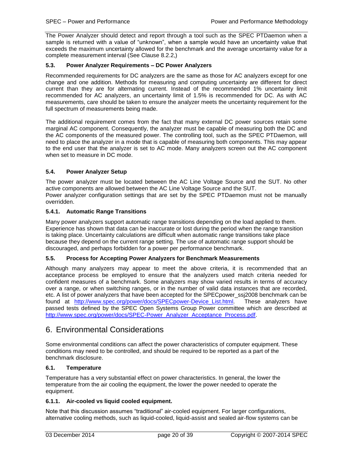The Power Analyzer should detect and report through a tool such as the SPEC PTDaemon when a sample is returned with a value of "unknown", when a sample would have an uncertainty value that exceeds the maximum uncertainty allowed for the benchmark and the average uncertainty value for a complete measurement interval (See Clause [8.2.2,](#page-26-0))

### <span id="page-19-0"></span>**5.3. Power Analyzer Requirements – DC Power Analyzers**

Recommended requirements for DC analyzers are the same as those for AC analyzers except for one change and one addition. Methods for measuring and computing uncertainty are different for direct current than they are for alternating current. Instead of the recommended 1% uncertainty limit recommended for AC analyzers, an uncertainty limit of 1.5% is recommended for DC. As with AC measurements, care should be taken to ensure the analyzer meets the uncertainty requirement for the full spectrum of measurements being made.

The additional requirement comes from the fact that many external DC power sources retain some marginal AC component. Consequently, the analyzer must be capable of measuring both the DC and the AC components of the measured power. The controlling tool, such as the SPEC PTDaemon, will need to place the analyzer in a mode that is capable of measuring both components. This may appear to the end user that the analyzer is set to AC mode. Many analyzers screen out the AC component when set to measure in DC mode.

### <span id="page-19-1"></span>**5.4. Power Analyzer Setup**

The power analyzer must be located between the AC Line Voltage Source and the SUT. No other active components are allowed between the AC Line Voltage Source and the SUT. Power analyzer configuration settings that are set by the SPEC PTDaemon must not be manually overridden.

### <span id="page-19-2"></span>**5.4.1. Automatic Range Transitions**

Many power analyzers support automatic range transitions depending on the load applied to them. Experience has shown that data can be inaccurate or lost during the period when the range transition is taking place. Uncertainty calculations are difficult when automatic range transitions take place because they depend on the current range setting. The use of automatic range support should be discouraged, and perhaps forbidden for a power per performance benchmark.

### <span id="page-19-3"></span>**5.5. Process for Accepting Power Analyzers for Benchmark Measurements**

Although many analyzers may appear to meet the above criteria, it is recommended that an acceptance process be employed to ensure that the analyzers used match criteria needed for confident measures of a benchmark. Some analyzers may show varied results in terms of accuracy over a range, or when switching ranges, or in the number of valid data instances that are recorded, etc. A list of power analyzers that have been accepted for the SPECpower ssj2008 benchmark can be found at [http://www.spec.org/power/docs/SPECpower-Device\\_List.html.](http://www.spec.org/power/docs/SPECpower-Device_List.html) These analyzers have passed tests defined by the SPEC Open Systems Group Power committee which are described at [http://www.spec.org/power/docs/SPEC-Power\\_Analyzer\\_Acceptance\\_Process.pdf.](http://www.spec.org/power/docs/SPEC-Power_Analyzer_Acceptance_Process.pdf)

### <span id="page-19-4"></span>6. Environmental Considerations

Some environmental conditions can affect the power characteristics of computer equipment. These conditions may need to be controlled, and should be required to be reported as a part of the benchmark disclosure.

### <span id="page-19-5"></span>**6.1. Temperature**

Temperature has a very substantial effect on power characteristics. In general, the lower the temperature from the air cooling the equipment, the lower the power needed to operate the equipment.

### <span id="page-19-6"></span>**6.1.1. Air-cooled vs liquid cooled equipment.**

Note that this discussion assumes "traditional" air-cooled equipment. For larger configurations, alternative cooling methods, such as liquid-cooled, liquid-assist and sealed air-flow systems can be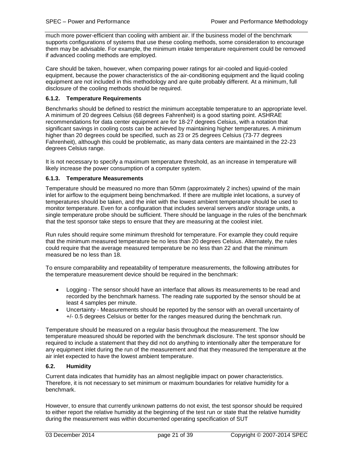much more power-efficient than cooling with ambient air. If the business model of the benchmark supports configurations of systems that use these cooling methods, some consideration to encourage them may be advisable. For example, the minimum intake temperature requirement could be removed if advanced cooling methods are employed.

Care should be taken, however, when comparing power ratings for air-cooled and liquid-cooled equipment, because the power characteristics of the air-conditioning equipment and the liquid cooling equipment are not included in this methodology and are quite probably different. At a minimum, full disclosure of the cooling methods should be required.

### <span id="page-20-0"></span>**6.1.2. Temperature Requirements**

Benchmarks should be defined to restrict the minimum acceptable temperature to an appropriate level. A minimum of 20 degrees Celsius (68 degrees Fahrenheit) is a good starting point. ASHRAE recommendations for data center equipment are for 18-27 degrees Celsius, with a notation that significant savings in cooling costs can be achieved by maintaining higher temperatures. A minimum higher than 20 degrees could be specified, such as 23 or 25 degrees Celsius (73-77 degrees Fahrenheit), although this could be problematic, as many data centers are maintained in the 22-23 degrees Celsius range.

It is not necessary to specify a maximum temperature threshold, as an increase in temperature will likely increase the power consumption of a computer system.

### <span id="page-20-1"></span>**6.1.3. Temperature Measurements**

Temperature should be measured no more than 50mm (approximately 2 inches) upwind of the main inlet for airflow to the equipment being benchmarked. If there are multiple inlet locations, a survey of temperatures should be taken, and the inlet with the lowest ambient temperature should be used to monitor temperature. Even for a configuration that includes several servers and/or storage units, a single temperature probe should be sufficient. There should be language in the rules of the benchmark that the test sponsor take steps to ensure that they are measuring at the coolest inlet.

Run rules should require some minimum threshold for temperature. For example they could require that the minimum measured temperature be no less than 20 degrees Celsius. Alternately, the rules could require that the average measured temperature be no less than 22 and that the minimum measured be no less than 18.

To ensure comparability and repeatability of temperature measurements, the following attributes for the temperature measurement device should be required in the benchmark:

- Logging The sensor should have an interface that allows its measurements to be read and recorded by the benchmark harness. The reading rate supported by the sensor should be at least 4 samples per minute.
- Uncertainty Measurements should be reported by the sensor with an overall uncertainty of +/- 0.5 degrees Celsius or better for the ranges measured during the benchmark run.

Temperature should be measured on a regular basis throughout the measurement. The low temperature measured should be reported with the benchmark disclosure. The test sponsor should be required to include a statement that they did not do anything to intentionally alter the temperature for any equipment inlet during the run of the measurement and that they measured the temperature at the air inlet expected to have the lowest ambient temperature.

### <span id="page-20-2"></span>**6.2. Humidity**

Current data indicates that humidity has an almost negligible impact on power characteristics. Therefore, it is not necessary to set minimum or maximum boundaries for relative humidity for a benchmark.

However, to ensure that currently unknown patterns do not exist, the test sponsor should be required to either report the relative humidity at the beginning of the test run or state that the relative humidity during the measurement was within documented operating specification of SUT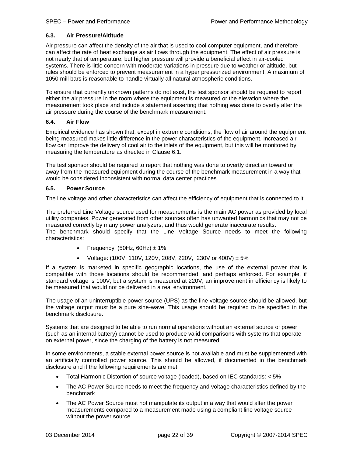### <span id="page-21-0"></span>**6.3. Air Pressure/Altitude**

Air pressure can affect the density of the air that is used to cool computer equipment, and therefore can affect the rate of heat exchange as air flows through the equipment. The effect of air pressure is not nearly that of temperature, but higher pressure will provide a beneficial effect in air-cooled systems. There is little concern with moderate variations in pressure due to weather or altitude, but rules should be enforced to prevent measurement in a hyper pressurized environment. A maximum of 1050 mill bars is reasonable to handle virtually all natural atmospheric conditions.

To ensure that currently unknown patterns do not exist, the test sponsor should be required to report either the air pressure in the room where the equipment is measured or the elevation where the measurement took place and include a statement asserting that nothing was done to overtly alter the air pressure during the course of the benchmark measurement.

### <span id="page-21-1"></span>**6.4. Air Flow**

Empirical evidence has shown that, except in extreme conditions, the flow of air around the equipment being measured makes little difference in the power characteristics of the equipment. Increased air flow can improve the delivery of cool air to the inlets of the equipment, but this will be monitored by measuring the temperature as directed in Clause [6.1.](#page-19-5)

The test sponsor should be required to report that nothing was done to overtly direct air toward or away from the measured equipment during the course of the benchmark measurement in a way that would be considered inconsistent with normal data center practices.

#### <span id="page-21-2"></span>**6.5. Power Source**

The line voltage and other characteristics can affect the efficiency of equipment that is connected to it.

The preferred Line Voltage source used for measurements is the main AC power as provided by local utility companies. Power generated from other sources often has unwanted harmonics that may not be measured correctly by many power analyzers, and thus would generate inaccurate results. The benchmark should specify that the Line Voltage Source needs to meet the following characteristics:

- Frequency:  $(50Hz, 60Hz) \pm 1\%$
- Voltage: (100V, 110V, 120V, 208V, 220V, 230V or 400V)  $\pm 5\%$

If a system is marketed in specific geographic locations, the use of the external power that is compatible with those locations should be recommended, and perhaps enforced. For example, if standard voltage is 100V, but a system is measured at 220V, an improvement in efficiency is likely to be measured that would not be delivered in a real environment.

The usage of an uninterruptible power source (UPS) as the line voltage source should be allowed, but the voltage output must be a pure sine-wave. This usage should be required to be specified in the benchmark disclosure.

Systems that are designed to be able to run normal operations without an external source of power (such as an internal battery) cannot be used to produce valid comparisons with systems that operate on external power, since the charging of the battery is not measured.

In some environments, a stable external power source is not available and must be supplemented with an artificially controlled power source. This should be allowed, if documented in the benchmark disclosure and if the following requirements are met:

- Total Harmonic Distortion of source voltage (loaded), based on IEC standards: < 5%
- The AC Power Source needs to meet the frequency and voltage characteristics defined by the benchmark
- The AC Power Source must not manipulate its output in a way that would alter the power measurements compared to a measurement made using a compliant line voltage source without the power source.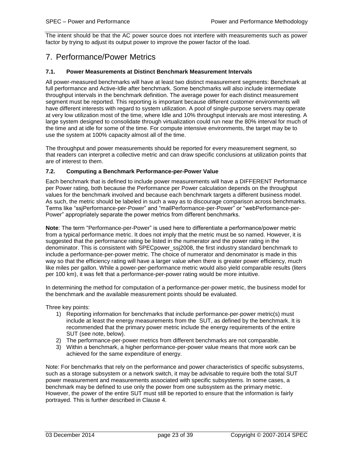The intent should be that the AC power source does not interfere with measurements such as power factor by trying to adjust its output power to improve the power factor of the load.

### <span id="page-22-0"></span>7. Performance/Power Metrics

### <span id="page-22-1"></span>**7.1. Power Measurements at Distinct Benchmark Measurement Intervals**

All power-measured benchmarks will have at least two distinct measurement segments: Benchmark at full performance and Active-Idle after benchmark. Some benchmarks will also include intermediate throughput intervals in the benchmark definition. The average power for each distinct measurement segment must be reported. This reporting is important because different customer environments will have different interests with regard to system utilization. A pool of single-purpose servers may operate at very low utilization most of the time, where Idle and 10% throughput intervals are most interesting. A large system designed to consolidate through virtualization could run near the 80% interval for much of the time and at idle for some of the time. For compute intensive environments, the target may be to use the system at 100% capacity almost all of the time.

The throughput and power measurements should be reported for every measurement segment, so that readers can interpret a collective metric and can draw specific conclusions at utilization points that are of interest to them.

### <span id="page-22-2"></span>**7.2. Computing a Benchmark Performance-per-Power Value**

Each benchmark that is defined to include power measurements will have a DIFFERENT Performance per Power rating, both because the Performance per Power calculation depends on the throughput values for the benchmark involved and because each benchmark targets a different business model. As such, the metric should be labeled in such a way as to discourage comparison across benchmarks. Terms like "ssjPerformance-per-Power" and "mailPerformance-per-Power" or "webPerformance-per-Power" appropriately separate the power metrics from different benchmarks.

**Note**: The term "Performance-per-Power" is used here to differentiate a performance/power metric from a typical performance metric. It does not imply that the metric must be so named. However, it is suggested that the performance rating be listed in the numerator and the power rating in the denominator. This is consistent with SPECpower\_ssj2008, the first industry standard benchmark to include a performance-per-power metric. The choice of numerator and denominator is made in this way so that the efficiency rating will have a larger value when there is greater power efficiency, much like miles per gallon. While a power-per-performance metric would also yield comparable results (liters per 100 km), it was felt that a performance-per-power rating would be more intuitive.

In determining the method for computation of a performance-per-power metric, the business model for the benchmark and the available measurement points should be evaluated.

Three key points:

- 1) Reporting information for benchmarks that include performance-per-power metric(s) must include at least the energy measurements from the SUT, as defined by the benchmark. It is recommended that the primary power metric include the energy requirements of the entire SUT (see note, below).
- 2) The performance-per-power metrics from different benchmarks are not comparable.
- 3) Within a benchmark, a higher performance-per-power value means that more work can be achieved for the same expenditure of energy.

Note: For benchmarks that rely on the performance and power characteristics of specific subsystems, such as a storage subsystem or a network switch, it may be advisable to require both the total SUT power measurement and measurements associated with specific subsystems. In some cases, a benchmark may be defined to use only the power from one subsystem as the primary metric. However, the power of the entire SUT must still be reported to ensure that the information is fairly portrayed. This is further described in Clause [4.](#page-13-1)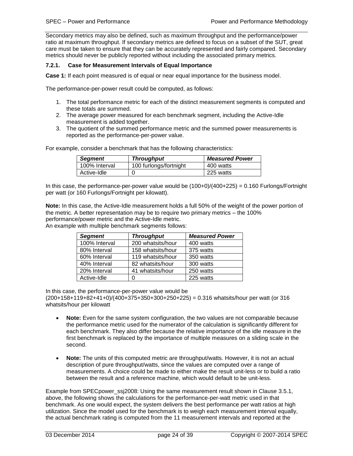Secondary metrics may also be defined, such as maximum throughput and the performance/power ratio at maximum throughput. If secondary metrics are defined to focus on a subset of the SUT, great care must be taken to ensure that they can be accurately represented and fairly compared. Secondary metrics should never be publicly reported without including the associated primary metrics.

### <span id="page-23-1"></span><span id="page-23-0"></span>**7.2.1. Case for Measurement Intervals of Equal Importance**

**Case 1:** If each point measured is of equal or near equal importance for the business model.

The performance-per-power result could be computed, as follows:

- 1. The total performance metric for each of the distinct measurement segments is computed and these totals are summed.
- 2. The average power measured for each benchmark segment, including the Active-Idle measurement is added together.
- 3. The quotient of the summed performance metric and the summed power measurements is reported as the performance-per-power value.

For example, consider a benchmark that has the following characteristics:

| <b>Segment</b> | <b>Throughput</b>      | <b>Measured Power</b> |
|----------------|------------------------|-----------------------|
| 100% Interval  | 100 furlongs/fortnight | 400 watts             |
| Active-Idle    |                        | 225 watts             |

In this case, the performance-per-power value would be  $(100+0)/(400+225) = 0.160$  Furlongs/Fortnight per watt (or 160 Furlongs/Fortnight per kilowatt).

**Note:** In this case, the Active-Idle measurement holds a full 50% of the weight of the power portion of the metric. A better representation may be to require two primary metrics – the 100% performance/power metric and the Active-Idle metric.

An example with multiple benchmark segments follows:

| <b>Segment</b> | <b>Throughput</b> | <b>Measured Power</b> |
|----------------|-------------------|-----------------------|
| 100% Interval  | 200 whatsits/hour | 400 watts             |
| 80% Interval   | 158 whatsits/hour | 375 watts             |
| 60% Interval   | 119 whatsits/hour | 350 watts             |
| 40% Interval   | 82 whatsits/hour  | 300 watts             |
| 20% Interval   | 41 whatsits/hour  | 250 watts             |
| Active-Idle    | O                 | 225 watts             |

In this case, the performance-per-power value would be

(200+158+119+82+41+0)/(400+375+350+300+250+225) = 0.316 whatsits/hour per watt (or 316 whatsits/hour per kilowatt

- **Note:** Even for the same system configuration, the two values are not comparable because the performance metric used for the numerator of the calculation is significantly different for each benchmark. They also differ because the relative importance of the idle measure in the first benchmark is replaced by the importance of multiple measures on a sliding scale in the second.
- **Note:** The units of this computed metric are throughput/watts. However, it is not an actual description of pure throughput/watts, since the values are computed over a range of measurements. A choice could be made to either make the result unit-less or to build a ratio between the result and a reference machine, which would default to be unit-less.

Example from SPECpower ssj2008: Using the same measurement result shown in Clause [3.5.1,](#page-9-0) above, the following shows the calculations for the performance-per-watt metric used in that benchmark. As one would expect, the system delivers the best performance per watt ratios at high utilization. Since the model used for the benchmark is to weigh each measurement interval equally, the actual benchmark rating is computed from the 11 measurement intervals and reported at the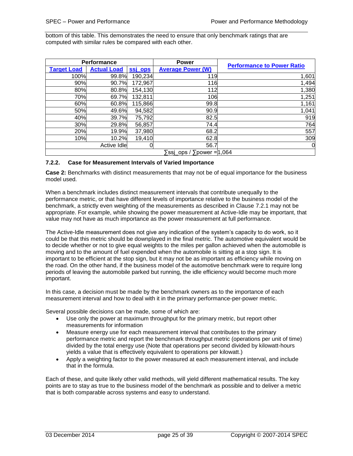bottom of this table. This demonstrates the need to ensure that only benchmark ratings that are computed with similar rules be compared with each other.

| <b>Performance</b> |                    |         | <b>Power</b>                                          |                                   |  |
|--------------------|--------------------|---------|-------------------------------------------------------|-----------------------------------|--|
| <b>Target Load</b> | <b>Actual Load</b> | ssi ops | <b>Average Power (W)</b>                              | <b>Performance to Power Ratio</b> |  |
| 100%               | 99.8%              | 190,234 | 119                                                   | 1,601                             |  |
| 90%                | 90.7%              | 172,967 | 116                                                   | 1,494                             |  |
| 80%                | 80.8%              | 154,130 | 112                                                   | 1,380                             |  |
| 70%                | 69.7%              | 132,811 | 106                                                   | 1,251                             |  |
| 60%                | 60.8%              | 115,866 | 99.8                                                  | 1,161                             |  |
| 50%                | 49.6%              | 94,582  | 90.9                                                  | 1,041                             |  |
| 40%                | 39.7%              | 75,792  | 82.5                                                  | 919                               |  |
| 30%                | 29.8%              | 56,857  | 74.4                                                  | 764                               |  |
| 20%                | 19.9%              | 37,980  | 68.2                                                  | 557                               |  |
| 10%                | 10.2%              | 19,410  | 62.8                                                  | 309                               |  |
|                    | Active Idle        | 0       | 56.7                                                  | 0                                 |  |
|                    |                    |         | $\overline{s}$ ssi ops / $\overline{s}$ power = 1,064 |                                   |  |

### <span id="page-24-0"></span>**7.2.2. Case for Measurement Intervals of Varied Importance**

**Case 2:** Benchmarks with distinct measurements that may not be of equal importance for the business model used.

When a benchmark includes distinct measurement intervals that contribute unequally to the performance metric, or that have different levels of importance relative to the business model of the benchmark, a strictly even weighting of the measurements as described in Clause [7.2.1](#page-23-1) may not be appropriate. For example, while showing the power measurement at Active-Idle may be important, that value may not have as much importance as the power measurement at full performance.

The Active-Idle measurement does not give any indication of the system's capacity to do work, so it could be that this metric should be downplayed in the final metric. The automotive equivalent would be to decide whether or not to give equal weights to the miles per gallon achieved when the automobile is moving and to the amount of fuel expended when the automobile is sitting at a stop sign. It is important to be efficient at the stop sign, but it may not be as important as efficiency while moving on the road. On the other hand, if the business model of the automotive benchmark were to require long periods of leaving the automobile parked but running, the idle efficiency would become much more important.

In this case, a decision must be made by the benchmark owners as to the importance of each measurement interval and how to deal with it in the primary performance-per-power metric.

Several possible decisions can be made, some of which are:

- Use only the power at maximum throughput for the primary metric, but report other measurements for information
- Measure energy use for each measurement interval that contributes to the primary performance metric and report the benchmark throughput metric (operations per unit of time) divided by the total energy use (Note that operations per second divided by kilowatt-hours yields a value that is effectively equivalent to operations per kilowatt.)
- Apply a weighting factor to the power measured at each measurement interval, and include that in the formula.

Each of these, and quite likely other valid methods, will yield different mathematical results. The key points are to stay as true to the business model of the benchmark as possible and to deliver a metric that is both comparable across systems and easy to understand.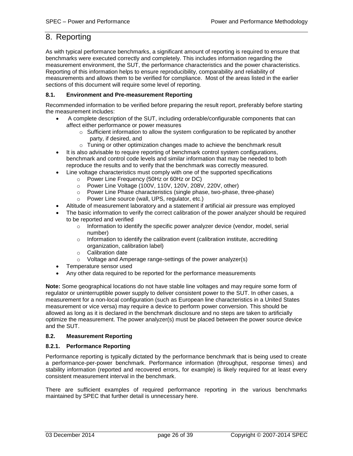### <span id="page-25-0"></span>8. Reporting

As with typical performance benchmarks, a significant amount of reporting is required to ensure that benchmarks were executed correctly and completely. This includes information regarding the measurement environment, the SUT, the performance characteristics and the power characteristics. Reporting of this information helps to ensure reproducibility, comparability and reliability of measurements and allows them to be verified for compliance. Most of the areas listed in the earlier sections of this document will require some level of reporting.

### <span id="page-25-1"></span>**8.1. Environment and Pre-measurement Reporting**

Recommended information to be verified before preparing the result report, preferably before starting the measurement includes:

- A complete description of the SUT, including orderable/configurable components that can affect either performance or power measures
	- $\circ$  Sufficient information to allow the system configuration to be replicated by another party, if desired, and
	- o Tuning or other optimization changes made to achieve the benchmark result
- It is also advisable to require reporting of benchmark control system configurations, benchmark and control code levels and similar information that may be needed to both reproduce the results and to verify that the benchmark was correctly measured.
- Line voltage characteristics must comply with one of the supported specifications
	- o Power Line Frequency (50Hz or 60Hz or DC)
	- o Power Line Voltage (100V, 110V, 120V, 208V, 220V, other)
	- o Power Line Phase characteristics (single phase, two-phase, three-phase)
	- o Power Line source (wall, UPS, regulator, etc.)
- Altitude of measurement laboratory and a statement if artificial air pressure was employed
- The basic information to verify the correct calibration of the power analyzer should be required to be reported and verified
	- $\circ$  Information to identify the specific power analyzer device (vendor, model, serial number)
	- $\circ$  Information to identify the calibration event (calibration institute, accrediting organization, calibration label)
	- o Calibration date
	- o Voltage and Amperage range-settings of the power analyzer(s)
- Temperature sensor used
- Any other data required to be reported for the performance measurements

**Note:** Some geographical locations do not have stable line voltages and may require some form of regulator or uninterruptible power supply to deliver consistent power to the SUT. In other cases, a measurement for a non-local configuration (such as European line characteristics in a United States measurement or vice versa) may require a device to perform power conversion. This should be allowed as long as it is declared in the benchmark disclosure and no steps are taken to artificially optimize the measurement. The power analyzer(s) must be placed between the power source device and the SUT.

### <span id="page-25-2"></span>**8.2. Measurement Reporting**

### <span id="page-25-3"></span>**8.2.1. Performance Reporting**

Performance reporting is typically dictated by the performance benchmark that is being used to create a performance-per-power benchmark. Performance information (throughput, response times) and stability information (reported and recovered errors, for example) is likely required for at least every consistent measurement interval in the benchmark.

There are sufficient examples of required performance reporting in the various benchmarks maintained by SPEC that further detail is unnecessary here.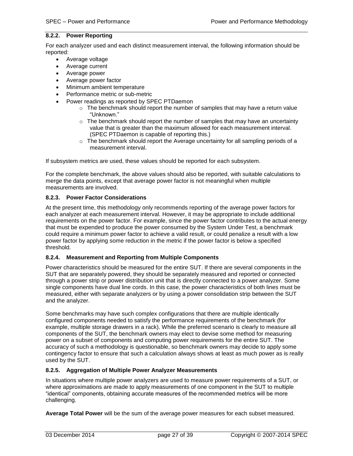### <span id="page-26-0"></span>**8.2.2. Power Reporting**

For each analyzer used and each distinct measurement interval, the following information should be reported:

- Average voltage
- Average current
- Average power
- Average power factor
- Minimum ambient temperature
- Performance metric or sub-metric
- Power readings as reported by SPEC PTDaemon
	- $\circ$  The benchmark should report the number of samples that may have a return value "Unknown."
	- $\circ$  The benchmark should report the number of samples that may have an uncertainty value that is greater than the maximum allowed for each measurement interval. (SPEC PTDaemon is capable of reporting this.)
	- $\circ$  The benchmark should report the Average uncertainty for all sampling periods of a measurement interval.

If subsystem metrics are used, these values should be reported for each subsystem.

For the complete benchmark, the above values should also be reported, with suitable calculations to merge the data points, except that average power factor is not meaningful when multiple measurements are involved.

### <span id="page-26-1"></span>**8.2.3. Power Factor Considerations**

At the present time, this methodology only recommends reporting of the average power factors for each analyzer at each measurement interval. However, it may be appropriate to include additional requirements on the power factor. For example, since the power factor contributes to the actual energy that must be expended to produce the power consumed by the System Under Test, a benchmark could require a minimum power factor to achieve a valid result, or could penalize a result with a low power factor by applying some reduction in the metric if the power factor is below a specified threshold.

#### <span id="page-26-2"></span>**8.2.4. Measurement and Reporting from Multiple Components**

Power characteristics should be measured for the entire SUT. If there are several components in the SUT that are separately powered, they should be separately measured and reported or connected through a power strip or power distribution unit that is directly connected to a power analyzer. Some single components have dual line cords. In this case, the power characteristics of both lines must be measured, either with separate analyzers or by using a power consolidation strip between the SUT and the analyzer.

Some benchmarks may have such complex configurations that there are multiple identically configured components needed to satisfy the performance requirements of the benchmark (for example, multiple storage drawers in a rack). While the preferred scenario is clearly to measure all components of the SUT, the benchmark owners may elect to devise some method for measuring power on a subset of components and computing power requirements for the entire SUT. The accuracy of such a methodology is questionable, so benchmark owners may decide to apply some contingency factor to ensure that such a calculation always shows at least as much power as is really used by the SUT.

### <span id="page-26-3"></span>**8.2.5. Aggregation of Multiple Power Analyzer Measurements**

In situations where multiple power analyzers are used to measure power requirements of a SUT, or where approximations are made to apply measurements of one component in the SUT to multiple "identical" components, obtaining accurate measures of the recommended metrics will be more challenging.

**Average Total Power** will be the sum of the average power measures for each subset measured.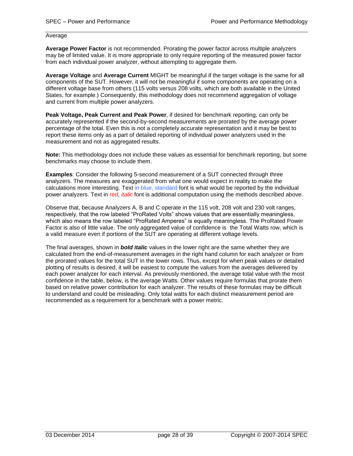### Average

**Average Power Factor** is not recommended. Prorating the power factor across multiple analyzers may be of limited value. It is more appropriate to only require reporting of the measured power factor from each individual power analyzer, without attempting to aggregate them.

**Average Voltage** and **Average Current** MIGHT be meaningful if the target voltage is the same for all components of the SUT. However, it will not be meaningful if some components are operating on a different voltage base from others (115 volts versus 208 volts, which are both available in the United States, for example.) Consequently, this methodology does not recommend aggregation of voltage and current from multiple power analyzers.

**Peak Voltage, Peak Current and Peak Power**, if desired for benchmark reporting, can only be accurately represented if the second-by-second measurements are prorated by the average power percentage of the total. Even this is not a completely accurate representation and it may be best to report these items only as a part of detailed reporting of individual power analyzers used in the measurement and not as aggregated results.

**Note:** This methodology does not include these values as essential for benchmark reporting, but some benchmarks may choose to include them.

**Examples**: Consider the following 5-second measurement of a SUT connected through three analyzers. The measures are exaggerated from what one would expect in reality to make the calculations more interesting. Text in blue, standard font is what would be reported by the individual power analyzers. Text in *red*, *italic* font is additional computation using the methods described above.

Observe that, because Analyzers A, B and C operate in the 115 volt, 208 volt and 230 volt ranges, respectively, that the row labeled "ProRated Volts" shows values that are essentially meaningless, which also means the row labeled "ProRated Amperes" is equally meaningless. The ProRated Power Factor is also of little value. The only aggregated value of confidence is the Total Watts row, which is a valid measure even if portions of the SUT are operating at different voltage levels.

The final averages, shown in *bold italic* values in the lower right are the same whether they are calculated from the end-of-measurement averages in the right hand column for each analyzer or from the prorated values for the total SUT in the lower rows. Thus, except for when peak values or detailed plotting of results is desired, it will be easiest to compute the values from the averages delivered by each power analyzer for each interval. As previously mentioned, the average total value with the most confidence in the table, below, is the average Watts. Other values require formulas that prorate them based on relative power contribution for each analyzer. The results of these formulas may be difficult to understand and could be misleading. Only total watts for each distinct measurement period are recommended as a requirement for a benchmark with a power metric.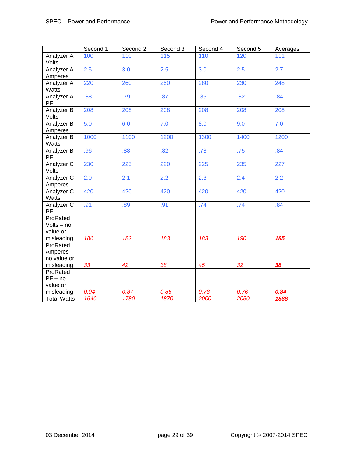|                                                  | Second 1 | Second 2         | Second 3 | Second 4         | Second 5 | Averages |
|--------------------------------------------------|----------|------------------|----------|------------------|----------|----------|
| Analyzer A<br>Volts                              | 100      | 110              | 115      | 110              | 120      | 111      |
| Analyzer A                                       | 2.5      | $\overline{3.0}$ | 2.5      | 3.0              | 2.5      | 2.7      |
| Amperes                                          |          |                  |          |                  |          |          |
| Analyzer A<br>Watts                              | 220      | 260              | 250      | 280              | 230      | 248      |
| Analyzer A<br><b>PF</b>                          | .88      | .79              | .87      | .85              | .82      | .84      |
| Analyzer B<br>Volts                              | 208      | 208              | 208      | 208              | 208      | 208      |
| Analyzer B<br>Amperes                            | 5.0      | 6.0              | 7.0      | 8.0              | 9.0      | 7.0      |
| Analyzer B<br>Watts                              | 1000     | 1100             | 1200     | 1300             | 1400     | 1200     |
| Analyzer B<br>PF                                 | .96      | .88              | .82      | .78              | .75      | .84      |
| Analyzer C<br>Volts                              | 230      | 225              | 220      | $\overline{225}$ | 235      | 227      |
| Analyzer C<br>Amperes                            | 2.0      | 2.1              | 2.2      | 2.3              | 2.4      | 2.2      |
| Analyzer C<br>Watts                              | 420      | 420              | 420      | 420              | 420      | 420      |
| Analyzer C<br>PF                                 | .91      | .89              | .91      | .74              | .74      | .84      |
| ProRated<br>Volts - no<br>value or<br>misleading | 186      | 182              | 183      | 183              | 190      | 185      |
| ProRated                                         |          |                  |          |                  |          |          |
| Amperes-                                         |          |                  |          |                  |          |          |
| no value or                                      |          |                  |          |                  |          |          |
| misleading                                       | 33       | 42               | 38       | 45               | 32       | 38       |
| ProRated                                         |          |                  |          |                  |          |          |
| $PF - no$                                        |          |                  |          |                  |          |          |
| value or<br>misleading                           | 0.94     | 0.87             | 0.85     | 0.78             | 0.76     | 0.84     |
| <b>Total Watts</b>                               | 1640     | 1780             | 1870     | 2000             | 2050     | 1868     |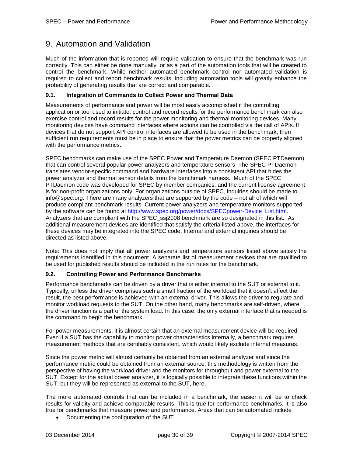### <span id="page-29-0"></span>9. Automation and Validation

Much of the information that is reported will require validation to ensure that the benchmark was run correctly. This can either be done manually, or as a part of the automation tools that will be created to control the benchmark. While neither automated benchmark control nor automated validation is required to collect and report benchmark results, including automation tools will greatly enhance the probability of generating results that are correct and comparable.

### <span id="page-29-1"></span>**9.1. Integration of Commands to Collect Power and Thermal Data**

Measurements of performance and power will be most easily accomplished if the controlling application or tool used to initiate, control and record results for the performance benchmark can also exercise control and record results for the power monitoring and thermal monitoring devices. Many monitoring devices have command interfaces where actions can be controlled via the call of APIs. If devices that do not support API control interfaces are allowed to be used in the benchmark, then sufficient run requirements must be in place to ensure that the power metrics can be properly aligned with the performance metrics.

SPEC benchmarks can make use of the SPEC Power and Temperature Daemon (SPEC PTDaemon) that can control several popular power analyzers and temperature sensors The SPEC PTDaemon translates vendor-specific command and hardware interfaces into a consistent API that hides the power analyzer and thermal sensor details from the benchmark harness. Much of the SPEC PTDaemon code was developed for SPEC by member companies, and the current license agreement is for non-profit organizations only. For organizations outside of SPEC, inquiries should be made to info@spec.org. There are many analyzers that are supported by the code – not all of which will produce compliant benchmark results. Current power analyzers and temperature monitors supported by the software can be found at http://www.spec.org/power/docs/SPECpower-Device List.html. Analyzers that are compliant with the SPEC\_ssj2008 benchmark are so designated in this list. As additional measurement devices are identified that satisfy the criteria listed above, the interfaces for these devices may be integrated into the SPEC code. Internal and external inquiries should be directed as listed above.

Note: This does not imply that all power analyzers and temperature sensors listed above satisfy the requirements identified in this document. A separate list of measurement devices that are qualified to be used for published results should be included in the run rules for the benchmark.

### <span id="page-29-2"></span>**9.2. Controlling Power and Performance Benchmarks**

Performance benchmarks can be driven by a driver that is either internal to the SUT or external to it. Typically, unless the driver comprises such a small fraction of the workload that it doesn't affect the result, the best performance is achieved with an external driver. This allows the driver to regulate and monitor workload requests to the SUT. On the other hand, many benchmarks are self-driven, where the driver function is a part of the system load. In this case, the only external interface that is needed is the command to begin the benchmark.

For power measurements, it is almost certain that an external measurement device will be required. Even if a SUT has the capability to monitor power characteristics internally, a benchmark requires measurement methods that are certifiably consistent, which would likely exclude internal measures.

Since the power metric will almost certainly be obtained from an external analyzer and since the performance metric could be obtained from an external source, this methodology is written from the perspective of having the workload driver and the monitors for throughput and power external to the SUT. Except for the actual power analyzer, it is logically possible to integrate these functions within the SUT, but they will be represented as external to the SUT, here.

The more automated controls that can be included in a benchmark, the easier it will be to check results for validity and achieve comparable results. This is true for performance benchmarks. It is also true for benchmarks that measure power and performance. Areas that can be automated include

• Documenting the configuration of the SUT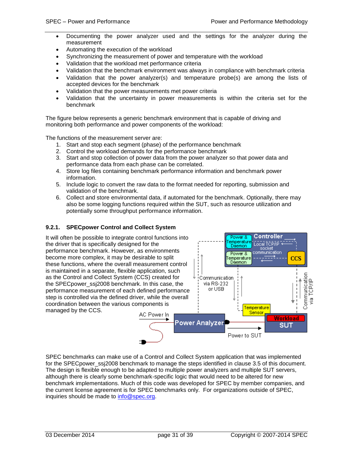- Documenting the power analyzer used and the settings for the analyzer during the measurement
- Automating the execution of the workload
- Synchronizing the measurement of power and temperature with the workload
- Validation that the workload met performance criteria
- Validation that the benchmark environment was always in compliance with benchmark criteria
- Validation that the power analyzer(s) and temperature probe(s) are among the lists of accepted devices for the benchmark
- Validation that the power measurements met power criteria
- Validation that the uncertainty in power measurements is within the criteria set for the benchmark

The figure below represents a generic benchmark environment that is capable of driving and monitoring both performance and power components of the workload:

The functions of the measurement server are:

- 1. Start and stop each segment (phase) of the performance benchmark
- 2. Control the workload demands for the performance benchmark
- 3. Start and stop collection of power data from the power analyzer so that power data and performance data from each phase can be correlated.
- 4. Store log files containing benchmark performance information and benchmark power information.
- 5. Include logic to convert the raw data to the format needed for reporting, submission and validation of the benchmark.
- 6. Collect and store environmental data, if automated for the benchmark. Optionally, there may also be some logging functions required within the SUT, such as resource utilization and potentially some throughput performance information.

### <span id="page-30-0"></span>**9.2.1. SPECpower Control and Collect System**



SPEC benchmarks can make use of a Control and Collect System application that was implemented for the SPEC power ssiz008 benchmark to manage the steps identified in clause [3.5](#page-8-0) of this document. The design is flexible enough to be adapted to multiple power analyzers and multiple SUT servers, although there is clearly some benchmark-specific logic that would need to be altered for new benchmark implementations. Much of this code was developed for SPEC by member companies, and the current license agreement is for SPEC benchmarks only. For organizations outside of SPEC, inquiries should be made to [info@spec.org.](mailto:info@spec.org)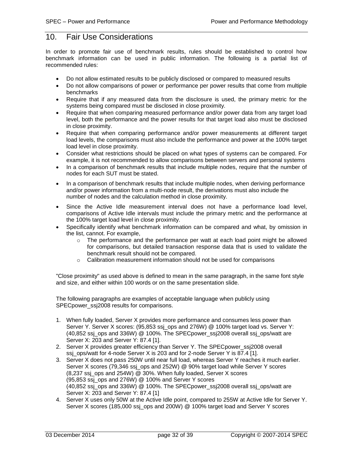### <span id="page-31-0"></span>10. Fair Use Considerations

In order to promote fair use of benchmark results, rules should be established to control how benchmark information can be used in public information. The following is a partial list of recommended rules:

- Do not allow estimated results to be publicly disclosed or compared to measured results
- Do not allow comparisons of power or performance per power results that come from multiple benchmarks
- Require that if any measured data from the disclosure is used, the primary metric for the systems being compared must be disclosed in close proximity.
- Require that when comparing measured performance and/or power data from any target load level, both the performance and the power results for that target load also must be disclosed in close proximity.
- Require that when comparing performance and/or power measurements at different target load levels, the comparisons must also include the performance and power at the 100% target load level in close proximity.
- Consider what restrictions should be placed on what types of systems can be compared. For example, it is not recommended to allow comparisons between servers and personal systems
- In a comparison of benchmark results that include multiple nodes, require that the number of nodes for each SUT must be stated.
- In a comparison of benchmark results that include multiple nodes, when deriving performance and/or power information from a multi-node result, the derivations must also include the number of nodes and the calculation method in close proximity.
- Since the Active Idle measurement interval does not have a performance load level, comparisons of Active Idle intervals must include the primary metric and the performance at the 100% target load level in close proximity.
- Specifically identify what benchmark information can be compared and what, by omission in the list, cannot. For example,
	- $\circ$  The performance and the performance per watt at each load point might be allowed for comparisons, but detailed transaction response data that is used to validate the benchmark result should not be compared.
	- o Calibration measurement information should not be used for comparisons

"Close proximity" as used above is defined to mean in the same paragraph, in the same font style and size, and either within 100 words or on the same presentation slide.

The following paragraphs are examples of acceptable language when publicly using SPECpower\_ssj2008 results for comparisons.

- 1. When fully loaded, Server X provides more performance and consumes less power than Server Y. Server X scores: (95,853 ssj\_ops and 276W) @ 100% target load vs. Server Y:  $(40,852 \text{ ss})$  ops and 336W) @ 100%. The SPECpower  $ssj2008$  overall ssj\_ops/watt are Server X: 203 and Server Y: 87.4 [1].
- 2. Server X provides greater efficiency than Server Y. The SPECpower\_ssj2008 overall ssj\_ops/watt for 4-node Server X is 203 and for 2-node Server Y is 87.4 [1].
- 3. Server X does not pass 250W until near full load, whereas Server Y reaches it much earlier. Server X scores (79,346 ssj\_ops and 252W) @ 90% target load while Server Y scores (8,237 ssj\_ops and 254W) @ 30%. When fully loaded, Server X scores (95,853 ssj\_ops and 276W) @ 100% and Server Y scores (40,852 ssj\_ops and 336W) @ 100%. The SPECpower\_ssj2008 overall ssj\_ops/watt are Server X: 203 and Server Y: 87.4 [1]
- 4. Server X uses only 50W at the Active Idle point, compared to 255W at Active Idle for Server Y. Server X scores (185,000 ssj\_ops and 200W) @ 100% target load and Server Y scores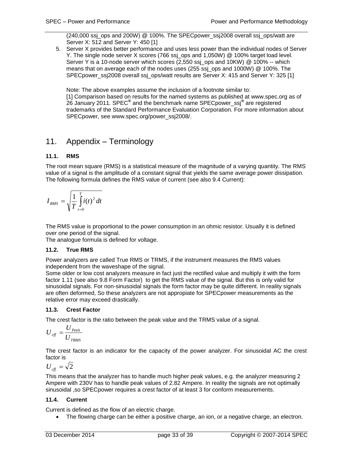$(240,000 \text{ ss}$  ops and 200W) @ 100%. The SPECpower  $ssj2008$  overall ssj\_ops/watt are Server X: 512 and Server Y: 450 [1]

5. Server X provides better performance and uses less power than the individual nodes of Server Y. The single node server X scores (766 ssj\_ops and 1,050W) @ 100% target load level. Server Y is a 10-node server which scores (2,550 ssj\_ops and 10KW) @ 100% -- which means that on average each of the nodes uses (255 ssj\_ops and 1000W) @ 100%. The SPECpower\_ssj2008 overall ssj\_ops/watt results are Server X: 415 and Server Y: 325 [1]

Note: The above examples assume the inclusion of a footnote similar to: [1] Comparison based on results for the named systems as published at www.spec.org as of 26 January 2011. SPEC**®** and the benchmark name SPECpower\_ssj**®** are registered trademarks of the Standard Performance Evaluation Corporation. For more information about SPECpower, see www.spec.org/power\_ssj2008/.

### <span id="page-32-0"></span>11. Appendix – Terminology

### <span id="page-32-1"></span>**11.1. RMS**

The root mean square (RMS) is a statistical measure of the magnitude of a varying quantity. The RMS value of a signal is the amplitude of a constant signal that yields the same average power dissipation. The following formula defines the RMS value of current (see also 9.4 Current):

$$
I_{RMS} = \sqrt{\frac{1}{T} \int_{t=0}^{T} i(t)^2 dt}
$$

The RMS value is proportional to the power consumption in an ohmic resistor. Usually it is defined over one period of the signal.

The analogue formula is defined for voltage.

### <span id="page-32-2"></span>**11.2. True RMS**

Power analyzers are called True RMS or TRMS, if the instrument measures the RMS values independent from the waveshape of the signal.

Some older or low cost analyzers measure in fact just the rectified value and multiply it with the form factor 1.11 (see also 9.8 Form Factor) to get the RMS value of the signal. But this is only valid for sinusoidal signals. For non-sinusoidal signals the form factor may be quite different. In reality signals are often deformed, So these analyzers are not appropiate for SPECpower measurements as the relative error may exceed drastically.

### <span id="page-32-3"></span>**11.3. Crest Factor**

The crest factor is the ratio between the peak value and the TRMS value of a signal.

$$
U_{\text{eff}} = \frac{U_{\text{Peak}}}{U_{\text{TRMS}}}
$$

The crest factor is an indicator for the capacity of the power analyzer. For sinusoidal AC the crest factor is

$$
U_{\rm eff}=\sqrt{2}
$$

This means that the analyzer has to handle much higher peak values, e.g. the analyzer measuring 2 Ampere with 230V has to handle peak values of 2.82 Ampere. In reality the signals are not optimally sinusoidal ,so SPECpower requires a crest factor of at least 3 for conform measurements.

### <span id="page-32-4"></span>**11.4. Current**

Current is defined as the flow of an electric charge.

The flowing charge can be either a positive charge, an ion, or a negative charge, an electron.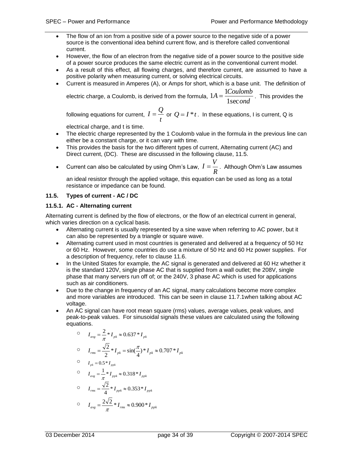- The flow of an ion from a positive side of a power source to the negative side of a power source is the conventional idea behind current flow, and is therefore called conventional current.
- However, the flow of an electron from the negative side of a power source to the positive side of a power source produces the same electric current as in the conventional current model.
- As a result of this effect, all flowing charges, and therefore current, are assumed to have a positive polarity when measuring current, or solving electrical circuits.
- Current is measured in Amperes (A), or Amps for short, which is a base unit. The definition of

electric charge, a Coulomb, is derived from the formula,  $1A = \frac{24.00 \text{ m/s}}{1 \text{ sec } end}$  $A = \frac{1Coulomb}{I}$ 1sec  $1A = \frac{1Coulomb}{1}$ . This provides the

following equations for current,  $I = \frac{z}{t}$  $I=\frac{Q}{\gamma}$  or  $\mathcal{Q}=I^*t$  . In these equations, I is current, Q is

electrical charge, and t is time.

- The electric charge represented by the 1 Coulomb value in the formula in the previous line can either be a constant charge, or it can vary with time.
- This provides the basis for the two different types of current, Alternating current (AC) and Direct current, (DC). These are discussed in the following clause, [11.5.](#page-33-0)
- Current can also be calculated by using Ohm's Law,  $I = \frac{1}{R}$  $I = \frac{V}{I}$ . Although Ohm's Law assumes

an ideal resistor through the applied voltage, this equation can be used as long as a total resistance or impedance can be found.

### <span id="page-33-0"></span>**11.5. Types of current - AC / DC**

### <span id="page-33-1"></span>**11.5.1. AC - Alternating current**

Alternating current is defined by the flow of electrons, or the flow of an electrical current in general, which varies direction on a cyclical basis.

- Alternating current is usually represented by a sine wave when referring to AC power, but it can also be represented by a triangle or square wave.
- Alternating current used in most countries is generated and delivered at a frequency of 50 Hz or 60 Hz. However, some countries do use a mixture of 50 Hz and 60 Hz power supplies. For a description of frequency, refer to clause [11.6.](#page-34-1)
- In the United States for example, the AC signal is generated and delivered at 60 Hz whether it is the standard 120V, single phase AC that is supplied from a wall outlet; the 208V, single phase that many servers run off of; or the 240V, 3 phase AC which is used for applications such as air conditioners.
- Due to the change in frequency of an AC signal, many calculations become more complex and more variables are introduced. This can be seen in clause [11.7.1w](#page-35-0)hen talking about AC voltage.
- An AC signal can have root mean square (rms) values, average values, peak values, and peak-to-peak values. For sinusoidal signals these values are calculated using the following equations.

$$
I_{avg} = \frac{2}{\pi} * I_{pk} ≈ 0.637 * I_{pk}
$$
  
\n
$$
I_{rms} = \frac{\sqrt{2}}{2} * I_{pk} = sin(\frac{\pi}{4}) * I_{pk} ≈ 0.707 * I_{pk}
$$
  
\n
$$
I_{pk} = 0.5 * I_{ppk}
$$
  
\n
$$
I_{avg} = \frac{1}{\pi} * I_{ppk} ≈ 0.318 * I_{ppk}
$$
  
\n
$$
I_{rms} = \frac{\sqrt{2}}{4} * I_{ppk} ≈ 0.353 * I_{ppk}
$$
  
\n
$$
I_{avg} = \frac{2\sqrt{2}}{\pi} * I_{rms} ≈ 0.900 * I_{ppk}
$$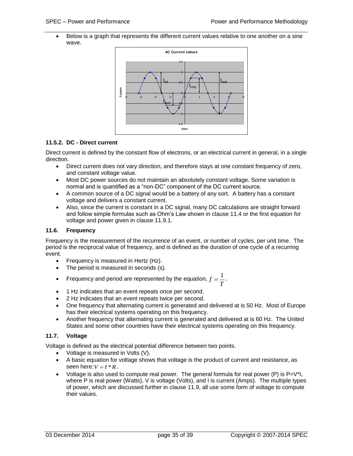Below is a graph that represents the different current values relative to one another on a sine wave.



### <span id="page-34-0"></span>**11.5.2. DC - Direct current**

Direct current is defined by the constant flow of electrons, or an electrical current in general, in a single direction.

- Direct current does not vary direction, and therefore stays at one constant frequency of zero, and constant voltage value.
- Most DC power sources do not maintain an absolutely constant voltage. Some variation is normal and is quantified as a "non-DC" component of the DC current source.
- A common source of a DC signal would be a battery of any sort. A battery has a constant voltage and delivers a constant current.
- Also, since the current is constant in a DC signal, many DC calculations are straight forward and follow simple formulas such as Ohm's Law shown in clause [11.4](#page-32-4) or the first equation for voltage and power given in clause [11.9.1.](#page-36-1)

### <span id="page-34-1"></span>**11.6. Frequency**

Frequency is the measurement of the recurrence of an event, or number of cycles, per unit time. The period is the reciprocal value of frequency, and is defined as the duration of one cycle of a recurring event.

- Frequency is measured in Hertz (Hz).
- The period is measured in seconds (s).
- Frequency and period are represented by the equation, *T*  $f = \frac{1}{r}$ .
- 1 Hz indicates that an event repeats once per second.
- 2 Hz indicates that an event repeats twice per second.
- One frequency that alternating current is generated and delivered at is 50 Hz. Most of Europe has their electrical systems operating on this frequency.
- Another frequency that alternating current is generated and delivered at is 60 Hz. The United States and some other countries have their electrical systems operating on this frequency.

### <span id="page-34-2"></span>**11.7. Voltage**

Voltage is defined as the electrical potential difference between two points.

- Voltage is measured in Volts (V).
- A basic equation for voltage shows that voltage is the product of current and resistance, as seen here:  $V = I * R$ .
- Voltage is also used to compute real power. The general formula for real power  $(P)$  is  $P=V<sup>*</sup>I$ , where P is real power (Watts), V is voltage (Volts), and I is current (Amps). The multiple types of power, which are discussed further in clause [11.9,](#page-36-0) all use some form of voltage to compute their values.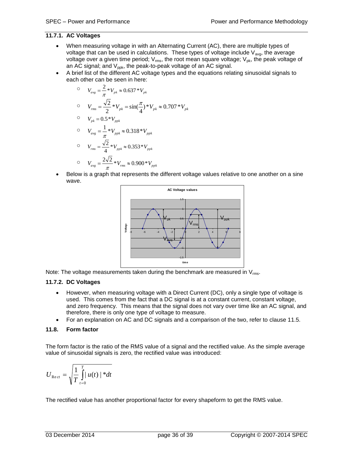### <span id="page-35-0"></span>**11.7.1. AC Voltages**

- When measuring voltage in with an Alternating Current (AC), there are multiple types of voltage that can be used in calculations. These types of voltage include  $V_{\text{avg}}$ , the average voltage over a given time period;  $V_{rms}$ , the root mean square voltage;  $V_{pk}$ , the peak voltage of an AC signal; and  $V_{ppk}$ , the peak-to-peak voltage of an AC signal.
- A brief list of the different AC voltage types and the equations relating sinusoidal signals to each other can be seen in here:

$$
V_{avg} = \frac{2}{\pi} * V_{pk} ≈ 0.637 * V_{pk}
$$
  
\n
$$
V_{rms} = \frac{\sqrt{2}}{2} * V_{pk} = \sin(\frac{\pi}{4}) * V_{pk} ≈ 0.707 * V_{pk}
$$
  
\n
$$
V_{pk} = 0.5 * V_{ppk}
$$
  
\n
$$
V_{avg} = \frac{1}{\pi} * V_{ppk} ≈ 0.318 * V_{ppk}
$$
  
\n
$$
V_{rms} = \frac{\sqrt{2}}{4} * V_{ppk} ≈ 0.353 * V_{ppk}
$$
  
\n
$$
V_{avg} = \frac{2\sqrt{2}}{\pi} * V_{rms} ≈ 0.900 * V_{ppk}
$$

 Below is a graph that represents the different voltage values relative to one another on a sine wave.



Note: The voltage measurements taken during the benchmark are measured in  $V_{rms}$ .

### <span id="page-35-1"></span>**11.7.2. DC Voltages**

- However, when measuring voltage with a Direct Current (DC), only a single type of voltage is used. This comes from the fact that a DC signal is at a constant current, constant voltage, and zero frequency. This means that the signal does not vary over time like an AC signal, and therefore, there is only one type of voltage to measure.
- For an explanation on AC and DC signals and a comparison of the two, refer to clause [11.5.](#page-33-0)

### <span id="page-35-2"></span>**11.8. Form factor**

The form factor is the ratio of the RMS value of a signal and the rectified value. As the simple average value of sinusoidal signals is zero, the rectified value was introduced:

$$
U_{\text{Re}ct} = \sqrt{\frac{1}{T} \int_{t=0}^{T} |u(t)|^{*} dt}
$$

The rectified value has another proportional factor for every shapeform to get the RMS value.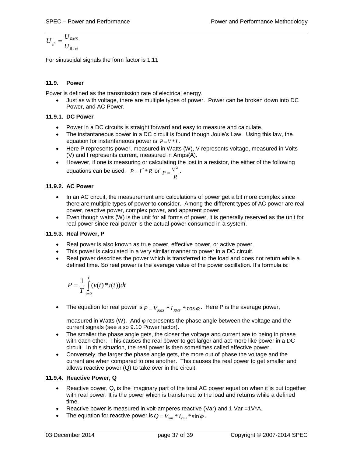$$
U_{\text{ff}} = \frac{U_{\text{RMS}}}{U_{\text{Re}\,ct}}
$$

For sinusoidal signals the form factor is 1.11

### <span id="page-36-0"></span>**11.9. Power**

Power is defined as the transmission rate of electrical energy.

 Just as with voltage, there are multiple types of power. Power can be broken down into DC Power, and AC Power.

### <span id="page-36-1"></span>**11.9.1. DC Power**

- Power in a DC circuits is straight forward and easy to measure and calculate.
- The instantaneous power in a DC circuit is found though Joule's Law. Using this law, the equation for instantaneous power is  $P = V * I$ .
- Here P represents power, measured in Watts (W), V represents voltage, measured in Volts (V) and I represents current, measured in Amps(A).
- However, if one is measuring or calculating the lost in a resistor, the either of the following equations can be used.  $P = I^2 * R$  or *R*  $P=\frac{V^2}{R}$ .

### <span id="page-36-2"></span>**11.9.2. AC Power**

- In an AC circuit, the measurement and calculations of power get a bit more complex since there are multiple types of power to consider. Among the different types of AC power are real power, reactive power, complex power, and apparent power.
- Even though watts (W) is the unit for all forms of power, it is generally reserved as the unit for real power since real power is the actual power consumed in a system.

### <span id="page-36-3"></span>**11.9.3. Real Power, P**

- Real power is also known as true power, effective power, or active power.
- This power is calculated in a very similar manner to power in a DC circuit.
- Real power describes the power which is transferred to the load and does not return while a defined time. So real power is the average value of the power oscillation. It's formula is:

$$
P = \frac{1}{T} \int_{t=0}^{T} (\nu(t) * i(t)) dt
$$

• The equation for real power is  $P = V_{RMS} * I_{RMS} * \cos \varphi$ . Here P is the average power,

measured in Watts (W). And φ represents the phase angle between the voltage and the current signals (see also 9.10 Power factor).

- The smaller the phase angle gets, the closer the voltage and current are to being in phase with each other. This causes the real power to get larger and act more like power in a DC circuit. In this situation, the real power is then sometimes called effective power.
- Conversely, the larger the phase angle gets, the more out of phase the voltage and the current are when compared to one another. This causes the real power to get smaller and allows reactive power (Q) to take over in the circuit.

### <span id="page-36-4"></span>**11.9.4. Reactive Power, Q**

- Reactive power, Q, is the imaginary part of the total AC power equation when it is put together with real power. It is the power which is transferred to the load and returns while a defined time.
- Reactive power is measured in volt-amperes reactive (Var) and 1 Var =1V\*A.
- The equation for reactive power is  $Q = V_{rms} * I_{rms} * sin \varphi$ .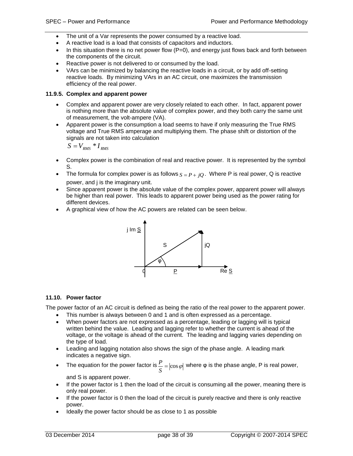- The unit of a Var represents the power consumed by a reactive load.
- A reactive load is a load that consists of capacitors and inductors.
- $\bullet$  In this situation there is no net power flow (P=0), and energy just flows back and forth between the components of the circuit.
- Reactive power is not delivered to or consumed by the load.
- VArs can be minimized by balancing the reactive loads in a circuit, or by add off-setting reactive loads. By minimizing VArs in an AC circuit, one maximizes the transmission efficiency of the real power.

#### <span id="page-37-0"></span>**11.9.5. Complex and apparent power**

- Complex and apparent power are very closely related to each other. In fact, apparent power is nothing more than the absolute value of complex power, and they both carry the same unit of measurement, the volt-ampere (VA).
- Apparent power is the consumption a load seems to have if only measuring the True RMS voltage and True RMS amperage and multiplying them. The phase shift or distortion of the signals are not taken into calculation

$$
S = V_{RMS} * I_{RMS}
$$

- Complex power is the combination of real and reactive power. It is represented by the symbol S.
- The formula for complex power is as follows  $S = P + jQ$ . Where P is real power, Q is reactive power, and j is the imaginary unit.
- Since apparent power is the absolute value of the complex power, apparent power will always be higher than real power. This leads to apparent power being used as the power rating for different devices.
- A graphical view of how the AC powers are related can be seen below.



### <span id="page-37-1"></span>**11.10. Power factor**

The power factor of an AC circuit is defined as being the ratio of the real power to the apparent power.

- This number is always between 0 and 1 and is often expressed as a percentage.
- When power factors are not expressed as a percentage, leading or lagging will is typical written behind the value. Leading and lagging refer to whether the current is ahead of the voltage, or the voltage is ahead of the current. The leading and lagging varies depending on the type of load.
- Leading and lagging notation also shows the sign of the phase angle. A leading mark indicates a negative sign.
- The equation for the power factor is  $\frac{F}{S} = |\cos \varphi|$  $P = |cos ω|$  where φ is the phase angle, P is real power,

and S is apparent power.

- If the power factor is 1 then the load of the circuit is consuming all the power, meaning there is only real power.
- If the power factor is 0 then the load of the circuit is purely reactive and there is only reactive power.
- Ideally the power factor should be as close to 1 as possible